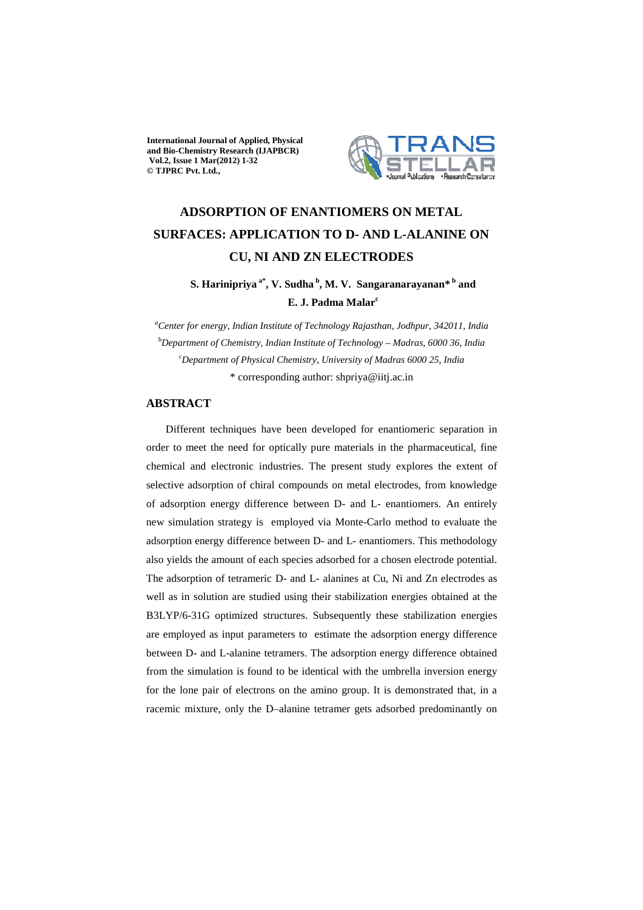**International Journal of Applied, Physical and Bio-Chemistry Research (IJAPBCR) Vol.2, Issue 1 Mar(2012) 1-32 © TJPRC Pvt. Ltd.,** 



# **ADSORPTION OF ENANTIOMERS ON METAL SURFACES: APPLICATION TO D- AND L-ALANINE ON CU, NI AND ZN ELECTRODES**

**S. Harinipriya a\*, V. Sudha<sup>b</sup>, M. V. Sangaranarayanan\*<sup>b</sup> and E. J. Padma Malar<sup>c</sup>**

*<sup>a</sup>Center for energy, Indian Institute of Technology Rajasthan, Jodhpur, 342011, India*  <sup>b</sup>*Department of Chemistry, Indian Institute of Technology – Madras, 6000 36, India*  <sup>c</sup>*Department of Physical Chemistry, University of Madras 6000 25, India*  \* corresponding author: shpriya@iitj.ac.in

# **ABSTRACT**

 Different techniques have been developed for enantiomeric separation in order to meet the need for optically pure materials in the pharmaceutical, fine chemical and electronic industries. The present study explores the extent of selective adsorption of chiral compounds on metal electrodes, from knowledge of adsorption energy difference between D- and L- enantiomers. An entirely new simulation strategy is employed via Monte-Carlo method to evaluate the adsorption energy difference between D- and L- enantiomers. This methodology also yields the amount of each species adsorbed for a chosen electrode potential. The adsorption of tetrameric D- and L- alanines at Cu, Ni and Zn electrodes as well as in solution are studied using their stabilization energies obtained at the B3LYP/6-31G optimized structures. Subsequently these stabilization energies are employed as input parameters to estimate the adsorption energy difference between D- and L-alanine tetramers. The adsorption energy difference obtained from the simulation is found to be identical with the umbrella inversion energy for the lone pair of electrons on the amino group. It is demonstrated that, in a racemic mixture, only the D–alanine tetramer gets adsorbed predominantly on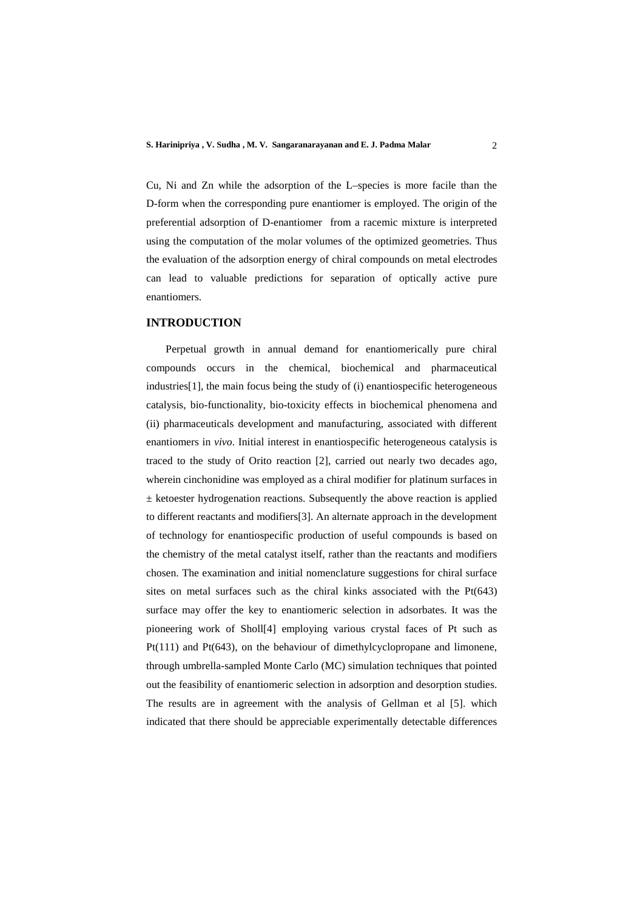Cu, Ni and Zn while the adsorption of the L–species is more facile than the D-form when the corresponding pure enantiomer is employed. The origin of the preferential adsorption of D-enantiomer from a racemic mixture is interpreted using the computation of the molar volumes of the optimized geometries. Thus the evaluation of the adsorption energy of chiral compounds on metal electrodes can lead to valuable predictions for separation of optically active pure enantiomers.

# **INTRODUCTION**

 Perpetual growth in annual demand for enantiomerically pure chiral compounds occurs in the chemical, biochemical and pharmaceutical industries[1], the main focus being the study of (i) enantiospecific heterogeneous catalysis, bio-functionality, bio-toxicity effects in biochemical phenomena and (ii) pharmaceuticals development and manufacturing, associated with different enantiomers in *vivo*. Initial interest in enantiospecific heterogeneous catalysis is traced to the study of Orito reaction [2], carried out nearly two decades ago, wherein cinchonidine was employed as a chiral modifier for platinum surfaces in  $±$  ketoester hydrogenation reactions. Subsequently the above reaction is applied to different reactants and modifiers[3]. An alternate approach in the development of technology for enantiospecific production of useful compounds is based on the chemistry of the metal catalyst itself, rather than the reactants and modifiers chosen. The examination and initial nomenclature suggestions for chiral surface sites on metal surfaces such as the chiral kinks associated with the Pt(643) surface may offer the key to enantiomeric selection in adsorbates. It was the pioneering work of Sholl[4] employing various crystal faces of Pt such as Pt(111) and Pt(643), on the behaviour of dimethylcyclopropane and limonene, through umbrella-sampled Monte Carlo (MC) simulation techniques that pointed out the feasibility of enantiomeric selection in adsorption and desorption studies. The results are in agreement with the analysis of Gellman et al [5]. which indicated that there should be appreciable experimentally detectable differences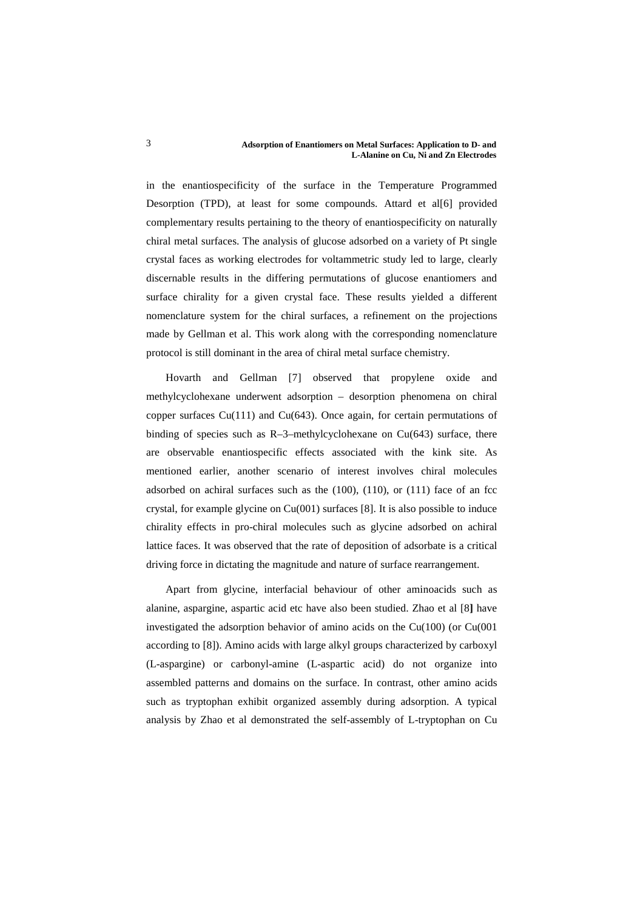#### **Adsorption of Enantiomers on Metal Surfaces: Application to D- and L-Alanine on Cu, Ni and Zn Electrodes**

in the enantiospecificity of the surface in the Temperature Programmed Desorption (TPD), at least for some compounds. Attard et al[6] provided complementary results pertaining to the theory of enantiospecificity on naturally chiral metal surfaces. The analysis of glucose adsorbed on a variety of Pt single crystal faces as working electrodes for voltammetric study led to large, clearly discernable results in the differing permutations of glucose enantiomers and surface chirality for a given crystal face. These results yielded a different nomenclature system for the chiral surfaces, a refinement on the projections made by Gellman et al. This work along with the corresponding nomenclature protocol is still dominant in the area of chiral metal surface chemistry.

 Hovarth and Gellman [7] observed that propylene oxide and methylcyclohexane underwent adsorption – desorption phenomena on chiral copper surfaces Cu(111) and Cu(643). Once again, for certain permutations of binding of species such as  $R$ –3–methylcyclohexane on Cu(643) surface, there are observable enantiospecific effects associated with the kink site. As mentioned earlier, another scenario of interest involves chiral molecules adsorbed on achiral surfaces such as the  $(100)$ ,  $(110)$ , or  $(111)$  face of an fcc crystal, for example glycine on Cu(001) surfaces [8]. It is also possible to induce chirality effects in pro-chiral molecules such as glycine adsorbed on achiral lattice faces. It was observed that the rate of deposition of adsorbate is a critical driving force in dictating the magnitude and nature of surface rearrangement.

 Apart from glycine, interfacial behaviour of other aminoacids such as alanine, aspargine, aspartic acid etc have also been studied. Zhao et al [8**]** have investigated the adsorption behavior of amino acids on the Cu(100) (or Cu(001 according to [8]). Amino acids with large alkyl groups characterized by carboxyl (L-aspargine) or carbonyl-amine (L-aspartic acid) do not organize into assembled patterns and domains on the surface. In contrast, other amino acids such as tryptophan exhibit organized assembly during adsorption. A typical analysis by Zhao et al demonstrated the self-assembly of L-tryptophan on Cu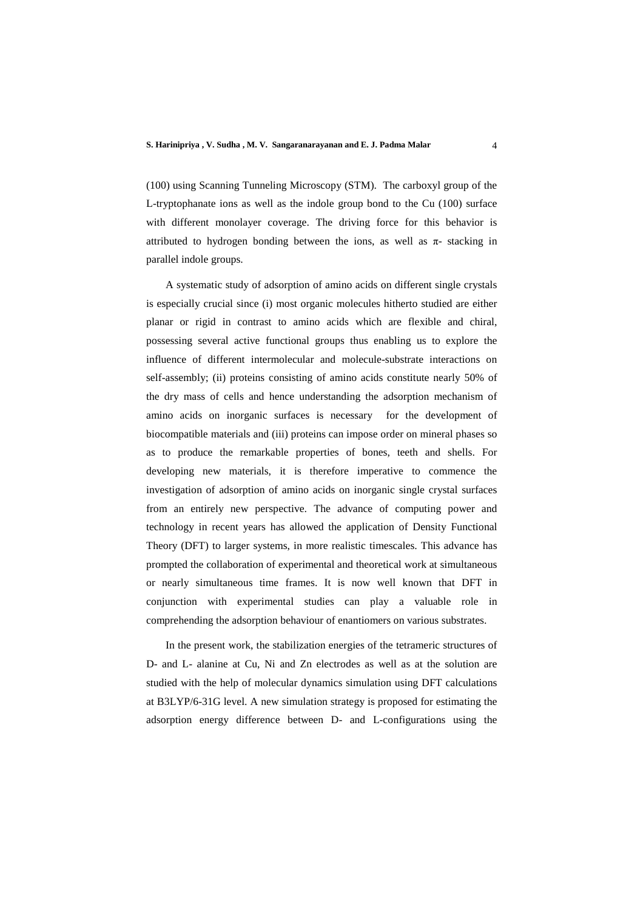(100) using Scanning Tunneling Microscopy (STM). The carboxyl group of the L-tryptophanate ions as well as the indole group bond to the Cu (100) surface with different monolayer coverage. The driving force for this behavior is attributed to hydrogen bonding between the ions, as well as  $\pi$ - stacking in parallel indole groups.

 A systematic study of adsorption of amino acids on different single crystals is especially crucial since (i) most organic molecules hitherto studied are either planar or rigid in contrast to amino acids which are flexible and chiral, possessing several active functional groups thus enabling us to explore the influence of different intermolecular and molecule-substrate interactions on self-assembly; (ii) proteins consisting of amino acids constitute nearly 50% of the dry mass of cells and hence understanding the adsorption mechanism of amino acids on inorganic surfaces is necessary for the development of biocompatible materials and (iii) proteins can impose order on mineral phases so as to produce the remarkable properties of bones, teeth and shells. For developing new materials, it is therefore imperative to commence the investigation of adsorption of amino acids on inorganic single crystal surfaces from an entirely new perspective. The advance of computing power and technology in recent years has allowed the application of Density Functional Theory (DFT) to larger systems, in more realistic timescales. This advance has prompted the collaboration of experimental and theoretical work at simultaneous or nearly simultaneous time frames. It is now well known that DFT in conjunction with experimental studies can play a valuable role in comprehending the adsorption behaviour of enantiomers on various substrates.

 In the present work, the stabilization energies of the tetrameric structures of D- and L- alanine at Cu, Ni and Zn electrodes as well as at the solution are studied with the help of molecular dynamics simulation using DFT calculations at B3LYP/6-31G level. A new simulation strategy is proposed for estimating the adsorption energy difference between D- and L-configurations using the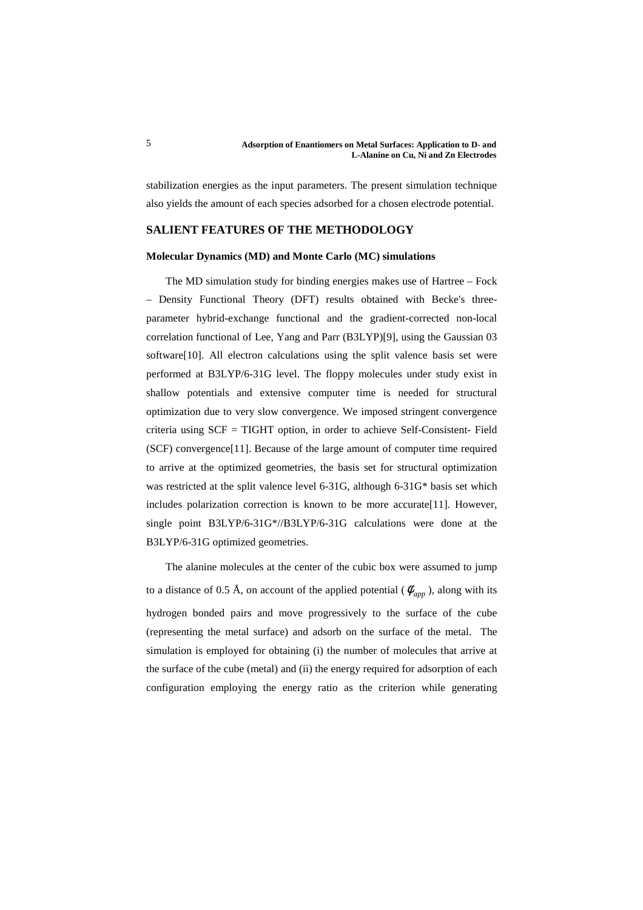stabilization energies as the input parameters. The present simulation technique also yields the amount of each species adsorbed for a chosen electrode potential.

# **SALIENT FEATURES OF THE METHODOLOGY**

### **Molecular Dynamics (MD) and Monte Carlo (MC) simulations**

 The MD simulation study for binding energies makes use of Hartree – Fock – Density Functional Theory (DFT) results obtained with Becke's threeparameter hybrid-exchange functional and the gradient-corrected non-local correlation functional of Lee, Yang and Parr (B3LYP)[9], using the Gaussian 03 software[10]. All electron calculations using the split valence basis set were performed at B3LYP/6-31G level. The floppy molecules under study exist in shallow potentials and extensive computer time is needed for structural optimization due to very slow convergence. We imposed stringent convergence criteria using SCF = TIGHT option, in order to achieve Self-Consistent- Field (SCF) convergence[11]. Because of the large amount of computer time required to arrive at the optimized geometries, the basis set for structural optimization was restricted at the split valence level 6-31G, although 6-31G\* basis set which includes polarization correction is known to be more accurate[11]. However, single point B3LYP/6-31G\*//B3LYP/6-31G calculations were done at the B3LYP/6-31G optimized geometries.

 The alanine molecules at the center of the cubic box were assumed to jump to a distance of 0.5 Å, on account of the applied potential ( $\phi_{\text{app}}$ ), along with its hydrogen bonded pairs and move progressively to the surface of the cube (representing the metal surface) and adsorb on the surface of the metal. The simulation is employed for obtaining (i) the number of molecules that arrive at the surface of the cube (metal) and (ii) the energy required for adsorption of each configuration employing the energy ratio as the criterion while generating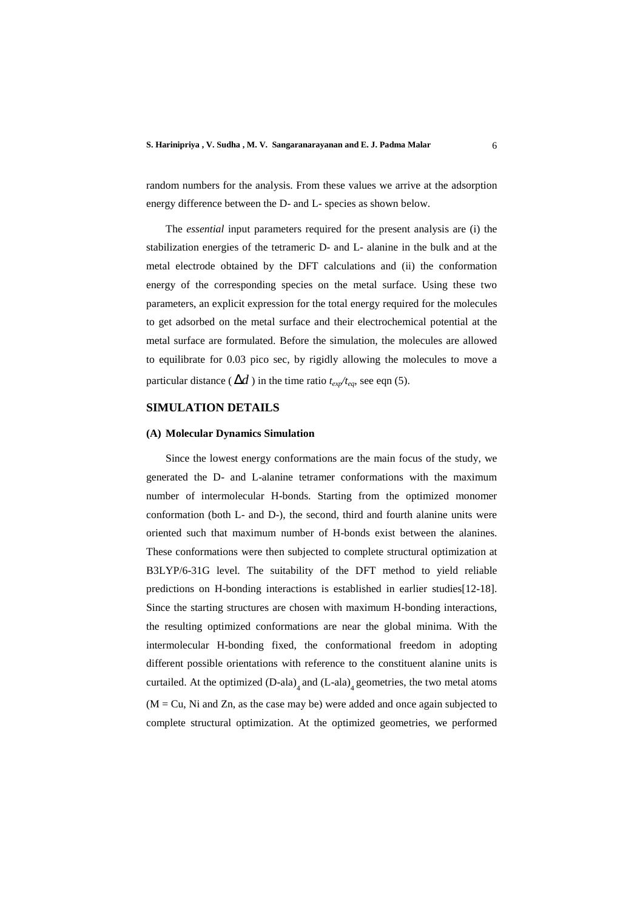random numbers for the analysis. From these values we arrive at the adsorption energy difference between the D- and L- species as shown below.

 The *essential* input parameters required for the present analysis are (i) the stabilization energies of the tetrameric D- and L- alanine in the bulk and at the metal electrode obtained by the DFT calculations and (ii) the conformation energy of the corresponding species on the metal surface. Using these two parameters, an explicit expression for the total energy required for the molecules to get adsorbed on the metal surface and their electrochemical potential at the metal surface are formulated. Before the simulation, the molecules are allowed to equilibrate for 0.03 pico sec, by rigidly allowing the molecules to move a particular distance ( $\Delta d$ ) in the time ratio  $t_{\text{exp}}/t_{\text{eq}}$ , see eqn (5).

# **SIMULATION DETAILS**

#### **(A) Molecular Dynamics Simulation**

 Since the lowest energy conformations are the main focus of the study, we generated the D- and L-alanine tetramer conformations with the maximum number of intermolecular H-bonds. Starting from the optimized monomer conformation (both L- and D-), the second, third and fourth alanine units were oriented such that maximum number of H-bonds exist between the alanines. These conformations were then subjected to complete structural optimization at B3LYP/6-31G level. The suitability of the DFT method to yield reliable predictions on H-bonding interactions is established in earlier studies[12-18]. Since the starting structures are chosen with maximum H-bonding interactions, the resulting optimized conformations are near the global minima. With the intermolecular H-bonding fixed, the conformational freedom in adopting different possible orientations with reference to the constituent alanine units is curtailed. At the optimized  $(D-ala)$ <sub>4</sub> and  $(L-ala)$ <sub>4</sub> geometries, the two metal atoms  $(M = Cu, Ni$  and Zn, as the case may be) were added and once again subjected to complete structural optimization. At the optimized geometries, we performed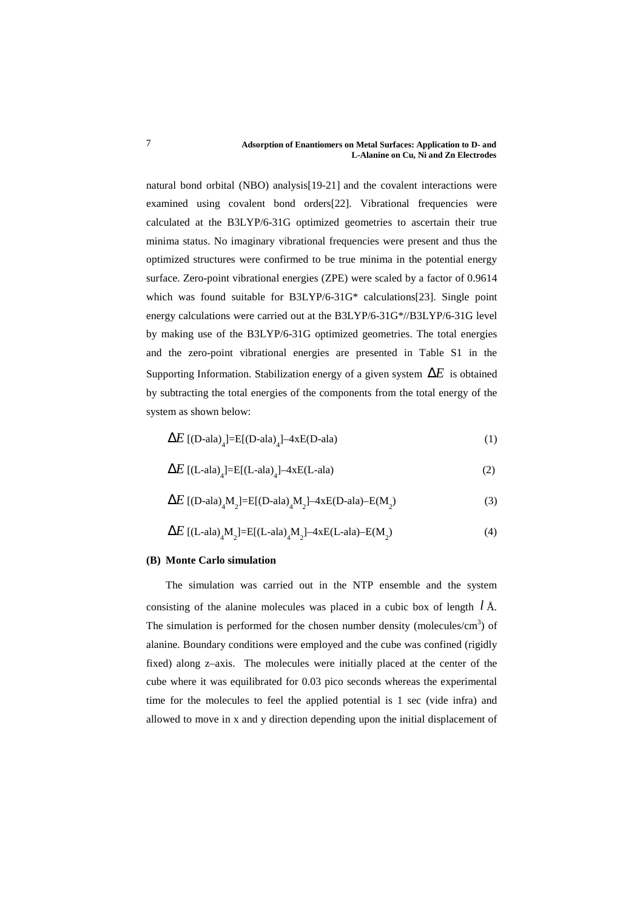natural bond orbital (NBO) analysis[19-21] and the covalent interactions were examined using covalent bond orders[22]. Vibrational frequencies were calculated at the B3LYP/6-31G optimized geometries to ascertain their true minima status. No imaginary vibrational frequencies were present and thus the optimized structures were confirmed to be true minima in the potential energy surface. Zero-point vibrational energies (ZPE) were scaled by a factor of 0.9614 which was found suitable for B3LYP/6-31G\* calculations[23]. Single point energy calculations were carried out at the B3LYP/6-31G\*//B3LYP/6-31G level by making use of the B3LYP/6-31G optimized geometries. The total energies and the zero-point vibrational energies are presented in Table S1 in the Supporting Information. Stabilization energy of a given system ∆*E* is obtained by subtracting the total energies of the components from the total energy of the system as shown below:

$$
\Delta E \left[ (D-\text{ala})_4 \right] = E \left[ (D-\text{ala})_4 \right] - 4xE(D-\text{ala}) \tag{1}
$$

$$
\Delta E \left[ (L-\text{ala})_4 \right] = E \left[ (L-\text{ala})_4 \right] - 4xE(L-\text{ala}) \tag{2}
$$

$$
\Delta E \left[ (D-\text{ala})_4 M_2 \right] = E[(D-\text{ala})_4 M_2] - 4xE(D-\text{ala}) - E(M_2)
$$
\n(3)

$$
\Delta E \left[ (L-\text{ala})_4 M_2 \right] = E[(L-\text{ala})_4 M_2] - 4xE(L-\text{ala}) - E(M_2) \tag{4}
$$

### **(B) Monte Carlo simulation**

 The simulation was carried out in the NTP ensemble and the system consisting of the alanine molecules was placed in a cubic box of length *l* Å. The simulation is performed for the chosen number density (molecules/ $\text{cm}^3$ ) of alanine. Boundary conditions were employed and the cube was confined (rigidly fixed) along z–axis. The molecules were initially placed at the center of the cube where it was equilibrated for 0.03 pico seconds whereas the experimental time for the molecules to feel the applied potential is 1 sec (vide infra) and allowed to move in x and y direction depending upon the initial displacement of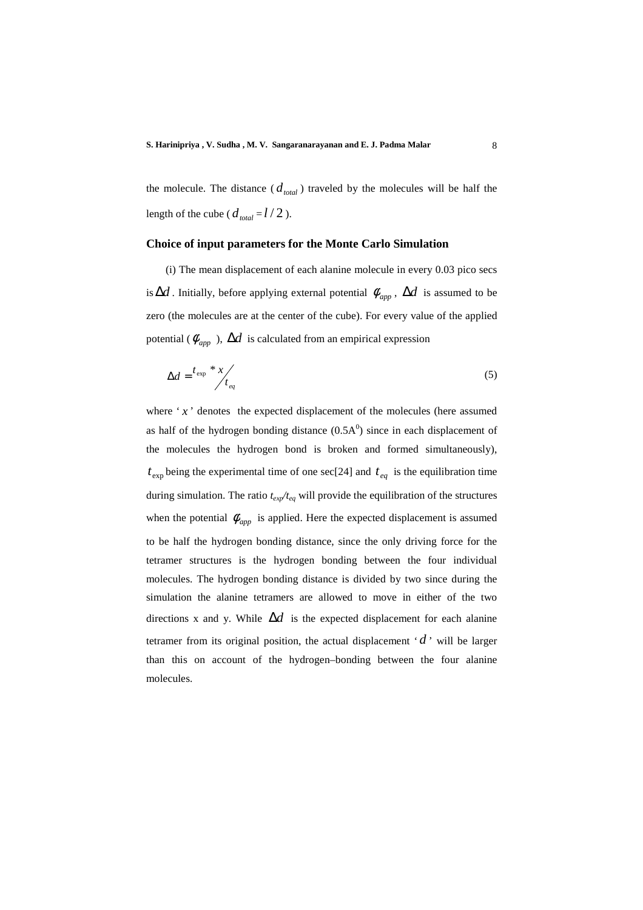the molecule. The distance  $(d_{total})$  traveled by the molecules will be half the length of the cube ( $d_{total} = l/2$ ).

## **Choice of input parameters for the Monte Carlo Simulation**

 (i) The mean displacement of each alanine molecule in every 0.03 pico secs is  $\Delta d$ . Initially, before applying external potential  $\phi_{app}$ ,  $\Delta d$  is assumed to be zero (the molecules are at the center of the cube). For every value of the applied potential ( $\phi_{\text{app}}$ ),  $\Delta d$  is calculated from an empirical expression

$$
\Delta d = \frac{t_{\rm exp}}{t_{\rm eq}} + \frac{x}{t_{\rm eq}} \tag{5}
$$

where  $x^{\prime}$  denotes the expected displacement of the molecules (here assumed as half of the hydrogen bonding distance  $(0.5A<sup>0</sup>)$  since in each displacement of the molecules the hydrogen bond is broken and formed simultaneously),  $t_{\text{exp}}$  being the experimental time of one sec[24] and  $t_{eq}$  is the equilibration time during simulation. The ratio *texp/teq* will provide the equilibration of the structures when the potential  $\phi_{\text{app}}$  is applied. Here the expected displacement is assumed to be half the hydrogen bonding distance, since the only driving force for the tetramer structures is the hydrogen bonding between the four individual molecules. The hydrogen bonding distance is divided by two since during the simulation the alanine tetramers are allowed to move in either of the two directions x and y. While  $\Delta d$  is the expected displacement for each alanine tetramer from its original position, the actual displacement  $'d'$  will be larger than this on account of the hydrogen–bonding between the four alanine molecules.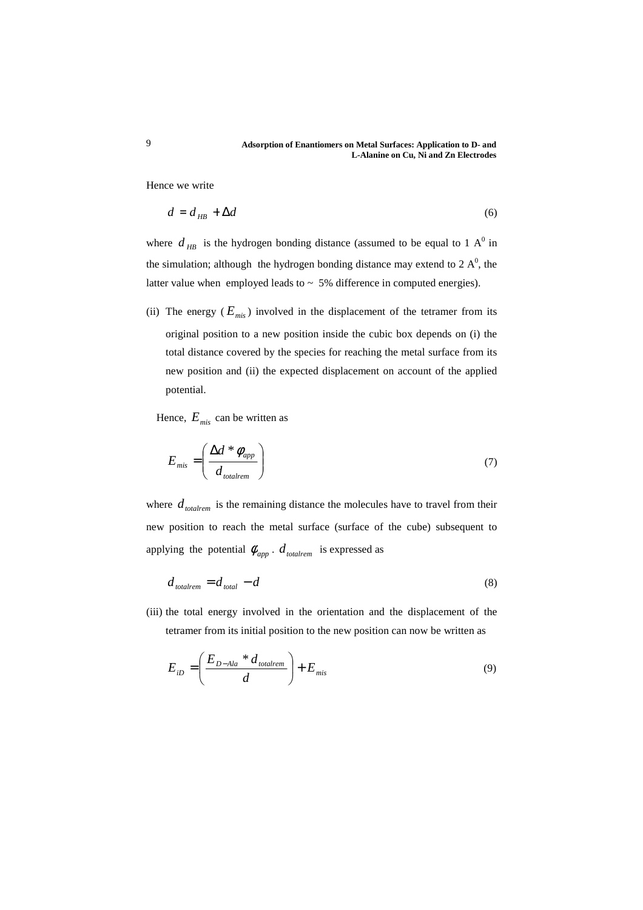Hence we write

$$
d = d_{HB} + \Delta d \tag{6}
$$

where  $d_{HB}$  is the hydrogen bonding distance (assumed to be equal to 1 A<sup>0</sup> in the simulation; although the hydrogen bonding distance may extend to  $2 \text{ A}^0$ , the latter value when employed leads to  $\sim 5\%$  difference in computed energies).

(ii) The energy  $(E_{mis})$  involved in the displacement of the tetramer from its original position to a new position inside the cubic box depends on (i) the total distance covered by the species for reaching the metal surface from its new position and (ii) the expected displacement on account of the applied potential.

Hence,  $E_{mis}$  can be written as

$$
E_{mis} = \left(\frac{\Delta d * \phi_{app}}{d_{totalrem}}\right) \tag{7}
$$

where  $d_{totalrem}$  is the remaining distance the molecules have to travel from their new position to reach the metal surface (surface of the cube) subsequent to applying the potential  $\phi_{app}$ .  $d_{totalrem}$  is expressed as

$$
d_{totalrem} = d_{total} - d \tag{8}
$$

(iii) the total energy involved in the orientation and the displacement of the tetramer from its initial position to the new position can now be written as

$$
E_{iD} = \left(\frac{E_{D-Ala} * d_{totalrem}}{d}\right) + E_{mis}
$$
\n(9)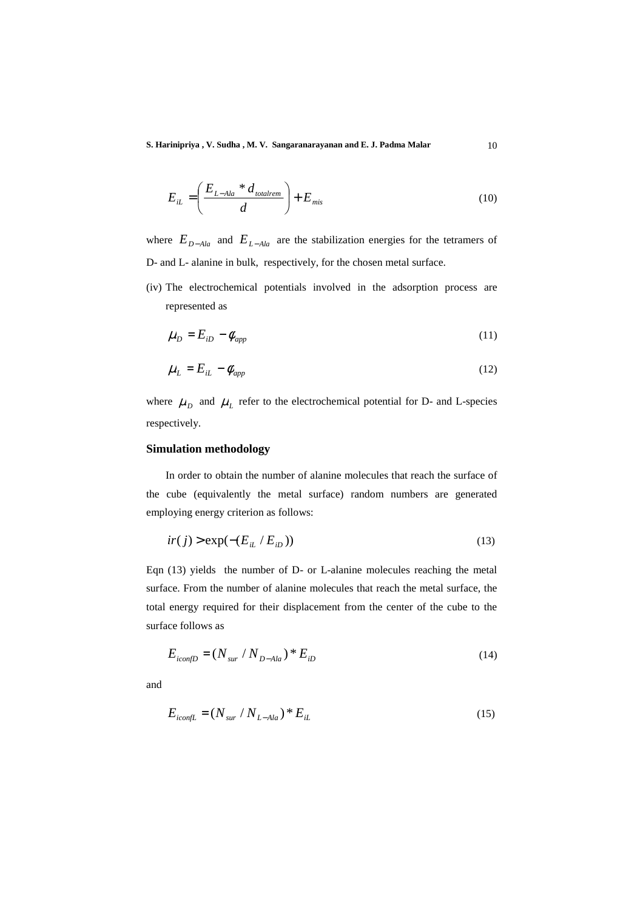**S. Harinipriya , V. Sudha , M. V. Sangaranarayanan and E. J. Padma Malar** 10

$$
E_{iL} = \left(\frac{E_{L-Ala} * d_{totalrem}}{d}\right) + E_{mis}
$$
\n(10)

where  $E_{D-Ala}$  and  $E_{L-Ala}$  are the stabilization energies for the tetramers of D- and L- alanine in bulk, respectively, for the chosen metal surface.

(iv) The electrochemical potentials involved in the adsorption process are represented as

$$
\mu_D = E_{iD} - \phi_{app} \tag{11}
$$

$$
\mu_L = E_{iL} - \phi_{app} \tag{12}
$$

where  $\mu_D$  and  $\mu_L$  refer to the electrochemical potential for D- and L-species respectively.

# **Simulation methodology**

 In order to obtain the number of alanine molecules that reach the surface of the cube (equivalently the metal surface) random numbers are generated employing energy criterion as follows:

$$
ir(j) > \exp(-(E_{iL} / E_{iD}))
$$
\n(13)

Eqn (13) yields the number of D- or L-alanine molecules reaching the metal surface. From the number of alanine molecules that reach the metal surface, the total energy required for their displacement from the center of the cube to the surface follows as

$$
E_{iconfD} = (N_{sur} / N_{D-Ala}) * E_{iD}
$$
 (14)

and

$$
E_{iconfL} = (N_{sur} / N_{L-Ala}) * E_{iL}
$$
 (15)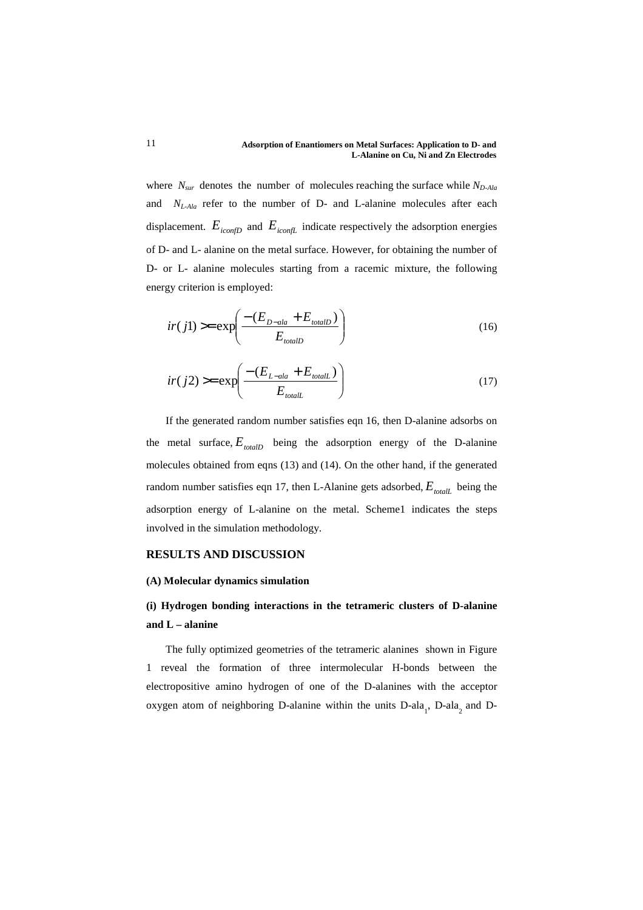where  $N_{sur}$  denotes the number of molecules reaching the surface while  $N_{D-Ala}$ and *NL-Ala* refer to the number of D- and L-alanine molecules after each displacement.  $E_{iconfD}$  and  $E_{iconfL}$  indicate respectively the adsorption energies of D- and L- alanine on the metal surface. However, for obtaining the number of D- or L- alanine molecules starting from a racemic mixture, the following energy criterion is employed:

$$
ir(jl) \ge \exp\left(\frac{-(E_{D-ala} + E_{totalD})}{E_{totalD}}\right) \tag{16}
$$

$$
ir(j2) \ge \exp\left(\frac{-(E_{L-\text{ala}} + E_{\text{total}})}{E_{\text{total}}}\right) \tag{17}
$$

 If the generated random number satisfies eqn 16, then D-alanine adsorbs on the metal surface,  $E_{totalD}$  being the adsorption energy of the D-alanine molecules obtained from eqns (13) and (14). On the other hand, if the generated random number satisfies eqn 17, then L-Alanine gets adsorbed,  $E_{total}$  being the adsorption energy of L-alanine on the metal. Scheme1 indicates the steps involved in the simulation methodology.

## **RESULTS AND DISCUSSION**

### **(A) Molecular dynamics simulation**

# **(i) Hydrogen bonding interactions in the tetrameric clusters of D-alanine and L – alanine**

 The fully optimized geometries of the tetrameric alanines shown in Figure 1 reveal the formation of three intermolecular H-bonds between the electropositive amino hydrogen of one of the D-alanines with the acceptor oxygen atom of neighboring D-alanine within the units  $D$ -ala<sub>1</sub>,  $D$ -ala<sub>2</sub> and  $D$ -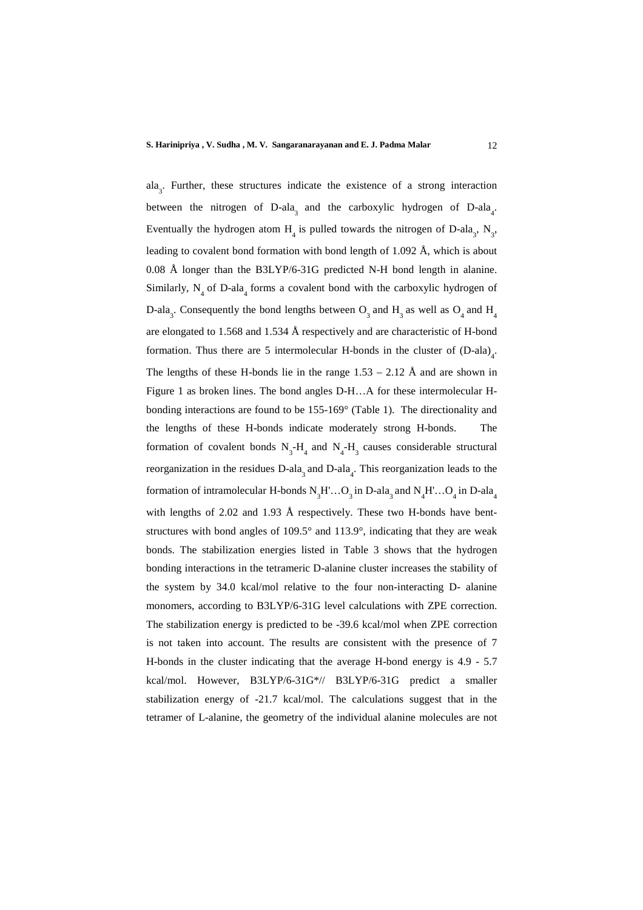ala<sub>3</sub>. Further, these structures indicate the existence of a strong interaction between the nitrogen of  $D$ -ala<sub>3</sub> and the carboxylic hydrogen of  $D$ -ala<sub>4</sub>. Eventually the hydrogen atom  $H_4$  is pulled towards the nitrogen of D-ala<sub>3</sub>, N<sub>3</sub>, leading to covalent bond formation with bond length of 1.092 Å, which is about 0.08 Å longer than the B3LYP/6-31G predicted N-H bond length in alanine. Similarly,  $N_4$  of D-ala<sub>4</sub> forms a covalent bond with the carboxylic hydrogen of D-ala<sub>3</sub>. Consequently the bond lengths between  $O_3$  and  $H_3$  as well as  $O_4$  and  $H_4$ are elongated to 1.568 and 1.534 Å respectively and are characteristic of H-bond formation. Thus there are 5 intermolecular H-bonds in the cluster of  $(D$ -ala)<sub>4</sub>. The lengths of these H-bonds lie in the range  $1.53 - 2.12$  Å and are shown in Figure 1 as broken lines. The bond angles D-H…A for these intermolecular Hbonding interactions are found to be 155-169° (Table 1). The directionality and the lengths of these H-bonds indicate moderately strong H-bonds. The formation of covalent bonds  $N_3$ - $H_4$  and  $N_4$ - $H_3$  causes considerable structural reorganization in the residues  $D$ -ala<sub>3</sub> and  $D$ -ala<sub>4</sub>. This reorganization leads to the formation of intramolecular H-bonds  $N_3H'...O_3$  in D-ala<sub>3</sub> and  $N_4H'...O_4$  in D-ala<sub>4</sub> with lengths of 2.02 and 1.93 Å respectively. These two H-bonds have bentstructures with bond angles of 109.5° and 113.9°, indicating that they are weak bonds. The stabilization energies listed in Table 3 shows that the hydrogen bonding interactions in the tetrameric D-alanine cluster increases the stability of the system by 34.0 kcal/mol relative to the four non-interacting D- alanine monomers, according to B3LYP/6-31G level calculations with ZPE correction. The stabilization energy is predicted to be -39.6 kcal/mol when ZPE correction is not taken into account. The results are consistent with the presence of 7 H-bonds in the cluster indicating that the average H-bond energy is 4.9 - 5.7 kcal/mol. However, B3LYP/6-31G\*// B3LYP/6-31G predict a smaller stabilization energy of -21.7 kcal/mol. The calculations suggest that in the tetramer of L-alanine, the geometry of the individual alanine molecules are not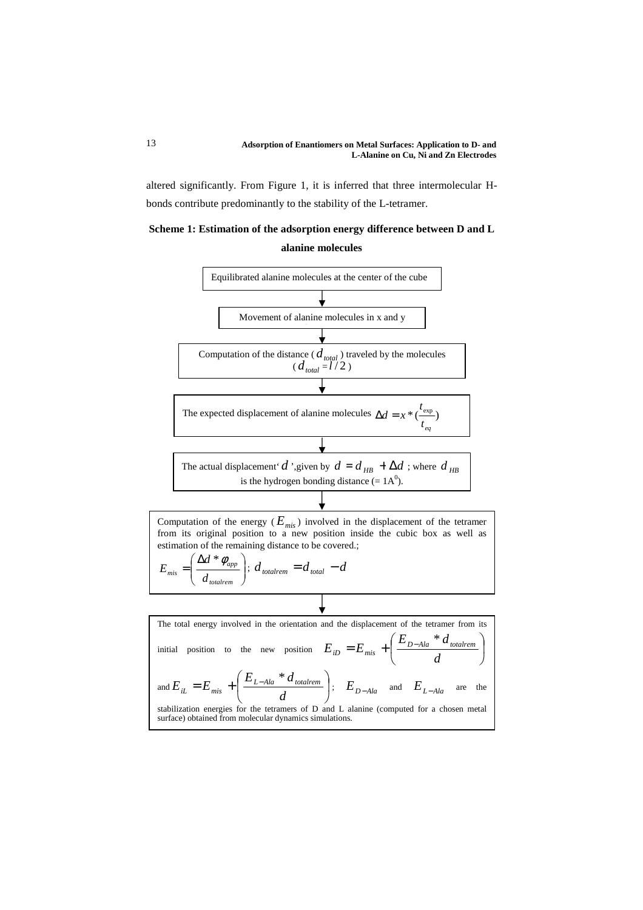altered significantly. From Figure 1, it is inferred that three intermolecular Hbonds contribute predominantly to the stability of the L-tetramer.

# **Scheme 1: Estimation of the adsorption energy difference between D and L alanine molecules**

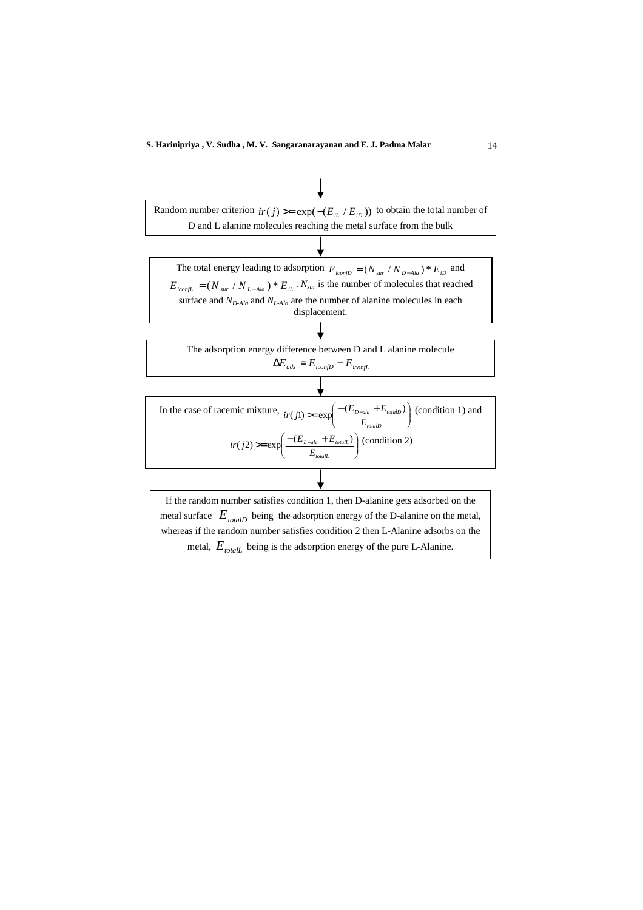

metal,  $E_{total}$  being is the adsorption energy of the pure L-Alanine.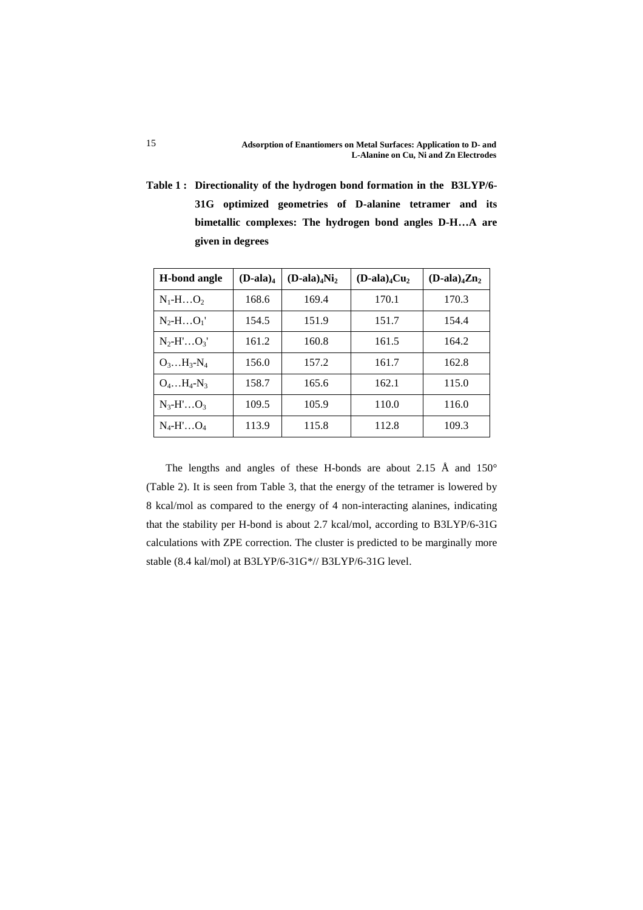**Table 1 : Directionality of the hydrogen bond formation in the B3LYP/6- 31G optimized geometries of D-alanine tetramer and its bimetallic complexes: The hydrogen bond angles D-H…A are given in degrees** 

| <b>H-bond angle</b>    | $(D$ -ala) <sub>4</sub> | $(D$ -ala) <sub>4</sub> Ni <sub>2</sub> | $(D$ -ala) <sub>4</sub> $Cu2$ | $(D$ -ala) <sub>4</sub> $Zn2$ |
|------------------------|-------------------------|-----------------------------------------|-------------------------------|-------------------------------|
| $N_1$ -HO <sub>2</sub> | 168.6                   | 169.4                                   | 170.1                         | 170.3                         |
| $N_2$ -H $O_1'$        | 154.5                   | 151.9                                   | 151.7                         | 154.4                         |
| $N_2$ -H' $O_3$ '      | 161.2                   | 160.8                                   | 161.5                         | 164.2                         |
| $O_3H_3-N_4$           | 156.0                   | 157.2                                   | 161.7                         | 162.8                         |
| $O_4H_4-N_3$           | 158.7                   | 165.6                                   | 162.1                         | 115.0                         |
| $N_3 - H' \dots O_3$   | 109.5                   | 105.9                                   | 110.0                         | 116.0                         |
| $N_4$ -H' $O_4$        | 113.9                   | 115.8                                   | 112.8                         | 109.3                         |

 The lengths and angles of these H-bonds are about 2.15 Å and 150° (Table 2). It is seen from Table 3, that the energy of the tetramer is lowered by 8 kcal/mol as compared to the energy of 4 non-interacting alanines, indicating that the stability per H-bond is about 2.7 kcal/mol, according to B3LYP/6-31G calculations with ZPE correction. The cluster is predicted to be marginally more stable (8.4 kal/mol) at B3LYP/6-31G\*// B3LYP/6-31G level.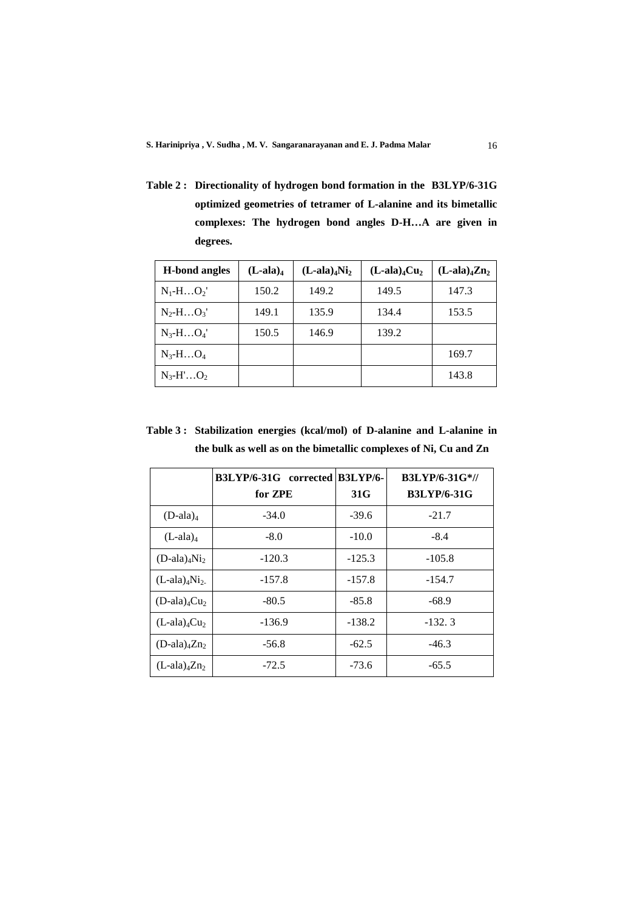**Table 2 : Directionality of hydrogen bond formation in the B3LYP/6-31G optimized geometries of tetramer of L-alanine and its bimetallic complexes: The hydrogen bond angles D-H…A are given in degrees.**

| <b>H</b> -bond angles | $(L$ -ala) <sub>4</sub> | $(L$ -ala) <sub>4</sub> Ni <sub>2</sub> | $(L$ -ala) <sub>4</sub> $Cu2$ | $(L$ -ala) <sub>4</sub> $Zn2$ |
|-----------------------|-------------------------|-----------------------------------------|-------------------------------|-------------------------------|
| $N_1-HO_2'$           | 150.2                   | 149.2                                   | 149.5                         | 147.3                         |
| $N_2-HO_3'$           | 149.1                   | 135.9                                   | 134.4                         | 153.5                         |
| $N_3 - H \dots O_4$   | 150.5                   | 146.9                                   | 139.2                         |                               |
| $N_3 - H \dots O_4$   |                         |                                         |                               | 169.7                         |
| $N_3-H'O_2$           |                         |                                         |                               | 143.8                         |

**Table 3 : Stabilization energies (kcal/mol) of D-alanine and L-alanine in the bulk as well as on the bimetallic complexes of Ni, Cu and Zn**

|                                         | B3LYP/6-31G corrected B3LYP/6- |          | <b>B3LYP/6-31G*//</b> |
|-----------------------------------------|--------------------------------|----------|-----------------------|
|                                         | for ZPE                        | 31G      | <b>B3LYP/6-31G</b>    |
| $(D$ -ala) <sub>4</sub>                 | $-34.0$                        | $-39.6$  | $-21.7$               |
| $(L$ -ala) <sub>4</sub>                 | $-8.0$                         | $-10.0$  | $-8.4$                |
| $(D$ -ala) <sub>4</sub> Ni <sub>2</sub> | $-120.3$                       | $-125.3$ | $-105.8$              |
| $(L$ -ala) <sub>4</sub> N <sub>12</sub> | $-157.8$                       | $-157.8$ | $-154.7$              |
| $(D$ -ala) <sub>4</sub> $Cu2$           | $-80.5$                        | $-85.8$  | -68.9                 |
| $(L$ -ala) <sub>4</sub> $Cu2$           | $-136.9$                       | $-138.2$ | $-132.3$              |
| $(D$ -ala) <sub>4</sub> $Zn2$           | $-56.8$                        | $-62.5$  | $-46.3$               |
| $(L$ -ala) <sub>4</sub> Zn <sub>2</sub> | $-72.5$                        | $-73.6$  | $-65.5$               |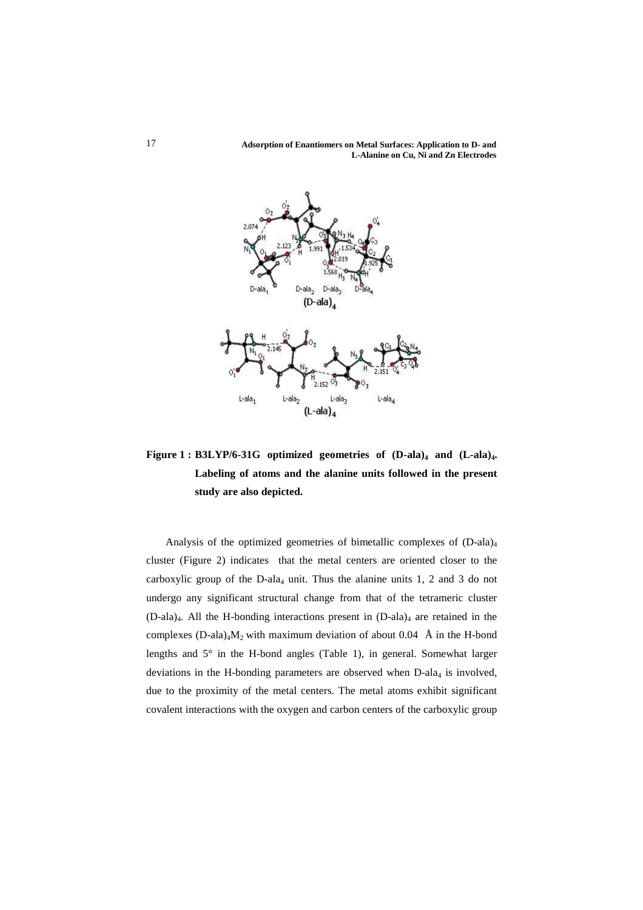**Adsorption of Enantiomers on Metal Surfaces: Application to D- and L-Alanine on Cu, Ni and Zn Electrodes** 



**Figure 1 : B3LYP/6-31G optimized geometries of (D-ala)4 and (L-ala)4. Labeling of atoms and the alanine units followed in the present study are also depicted.** 

 Analysis of the optimized geometries of bimetallic complexes of (D-ala)<sup>4</sup> cluster (Figure 2) indicates that the metal centers are oriented closer to the carboxylic group of the  $D$ -ala<sub>4</sub> unit. Thus the alanine units 1, 2 and 3 do not undergo any significant structural change from that of the tetrameric cluster  $(D$ -ala)<sub>4</sub>. All the H-bonding interactions present in  $(D$ -ala)<sub>4</sub> are retained in the complexes  $(D-ala)<sub>4</sub>M<sub>2</sub>$  with maximum deviation of about 0.04 Å in the H-bond lengths and 5° in the H-bond angles (Table 1), in general. Somewhat larger deviations in the H-bonding parameters are observed when  $D$ -ala<sub>4</sub> is involved, due to the proximity of the metal centers. The metal atoms exhibit significant covalent interactions with the oxygen and carbon centers of the carboxylic group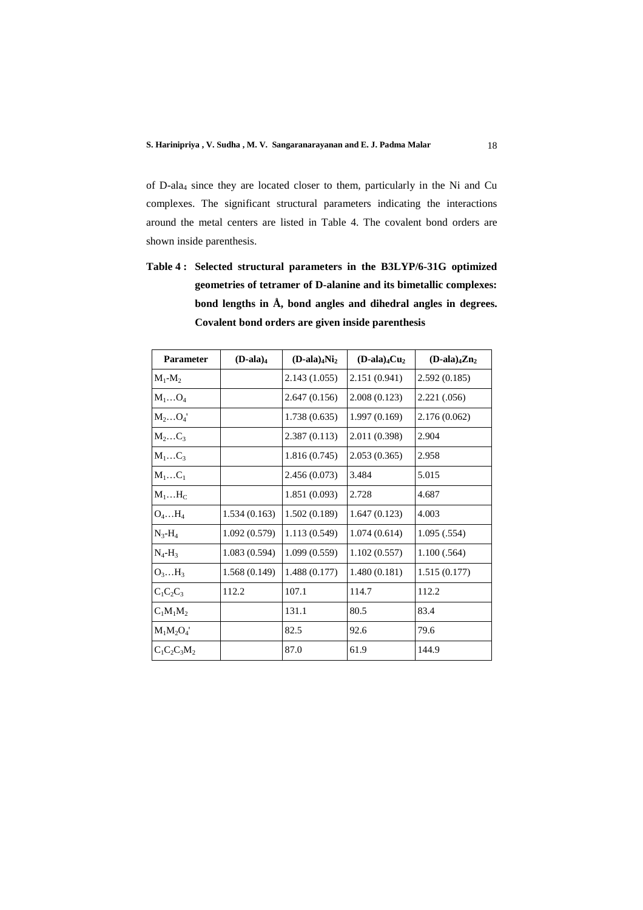of D-ala4 since they are located closer to them, particularly in the Ni and Cu complexes. The significant structural parameters indicating the interactions around the metal centers are listed in Table 4. The covalent bond orders are shown inside parenthesis.

**Table 4 : Selected structural parameters in the B3LYP/6-31G optimized geometries of tetramer of D-alanine and its bimetallic complexes: bond lengths in Å, bond angles and dihedral angles in degrees. Covalent bond orders are given inside parenthesis** 

| <b>Parameter</b> | $(D$ -ala) <sub>4</sub> | $(D$ -ala) <sub>4</sub> Ni <sub>2</sub> | $(D$ -ala) <sub>4</sub> $Cu2$ | $(D$ -ala) <sub>4</sub> $Zn2$ |
|------------------|-------------------------|-----------------------------------------|-------------------------------|-------------------------------|
| $M_1-M_2$        |                         | 2.143 (1.055)                           | 2.151 (0.941)                 | 2.592(0.185)                  |
| $M_1O_4$         |                         | 2.647 (0.156)                           | 2.008(0.123)                  | 2.221 (.056)                  |
| $M_2O_4$         |                         | 1.738(0.635)                            | 1.997(0.169)                  | 2.176 (0.062)                 |
| $M_2C_3$         |                         | 2.387 (0.113)                           | 2.011 (0.398)                 | 2.904                         |
| $M_1C_3$         |                         | 1.816(0.745)                            | 2.053(0.365)                  | 2.958                         |
| $M_1C_1$         |                         | 2.456 (0.073)                           | 3.484                         | 5.015                         |
| $M_1H_C$         |                         | 1.851(0.093)                            | 2.728                         | 4.687                         |
| $O_4 \dots H_4$  | 1.534(0.163)            | 1.502(0.189)                            | 1.647(0.123)                  | 4.003                         |
| $N_3-H_4$        | 1.092(0.579)            | 1.113(0.549)                            | 1.074(0.614)                  | 1.095(.554)                   |
| $N_4-H_3$        | 1.083(0.594)            | 1.099(0.559)                            | 1.102(0.557)                  | 1.100(.564)                   |
| $O_3H_3$         | 1.568(0.149)            | 1.488(0.177)                            | 1.480(0.181)                  | 1.515(0.177)                  |
| $C_1C_2C_3$      | 112.2                   | 107.1                                   | 114.7                         | 112.2                         |
| $C_1M_1M_2$      |                         | 131.1                                   | 80.5                          | 83.4                          |
| $M_1M_2O_4'$     |                         | 82.5                                    | 92.6                          | 79.6                          |
| $C_1C_2C_3M_2$   |                         | 87.0                                    | 61.9                          | 144.9                         |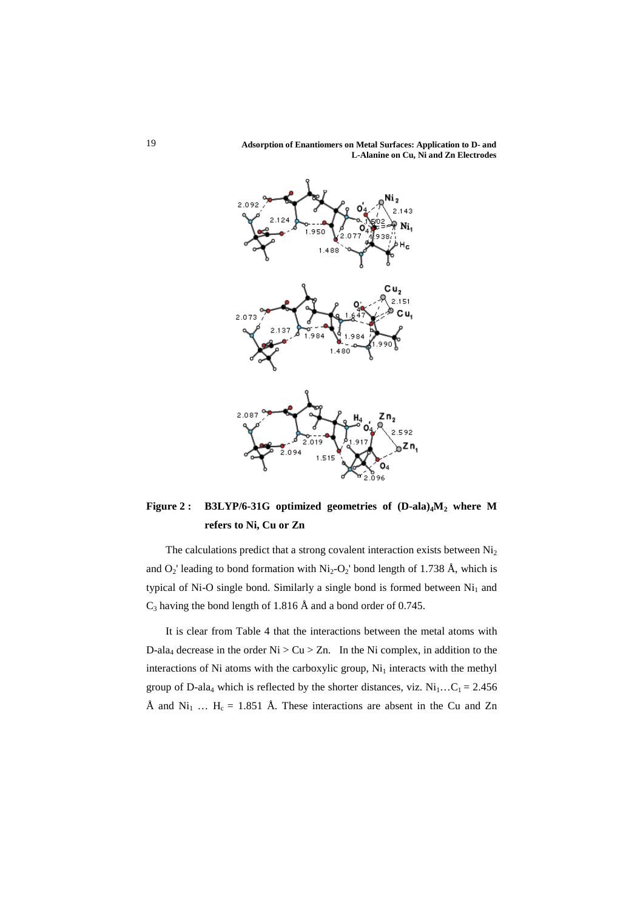**Adsorption of Enantiomers on Metal Surfaces: Application to D- and L-Alanine on Cu, Ni and Zn Electrodes** 



**Figure 2 : B3LYP/6-31G optimized geometries of (D-ala)4M2 where M refers to Ni, Cu or Zn** 

The calculations predict that a strong covalent interaction exists between  $Ni<sub>2</sub>$ and  $O_2$ ' leading to bond formation with  $Ni_2-O_2$ ' bond length of 1.738 Å, which is typical of Ni-O single bond. Similarly a single bond is formed between  $Ni<sub>1</sub>$  and  $C_3$  having the bond length of 1.816 Å and a bond order of 0.745.

 It is clear from Table 4 that the interactions between the metal atoms with D-ala<sub>4</sub> decrease in the order  $Ni > Cu > Zn$ . In the Ni complex, in addition to the interactions of Ni atoms with the carboxylic group,  $Ni<sub>1</sub>$  interacts with the methyl group of D-ala<sub>4</sub> which is reflected by the shorter distances, viz.  $Ni_1...C_1 = 2.456$ Å and  $Ni_1$  …  $H_c = 1.851$  Å. These interactions are absent in the Cu and Zn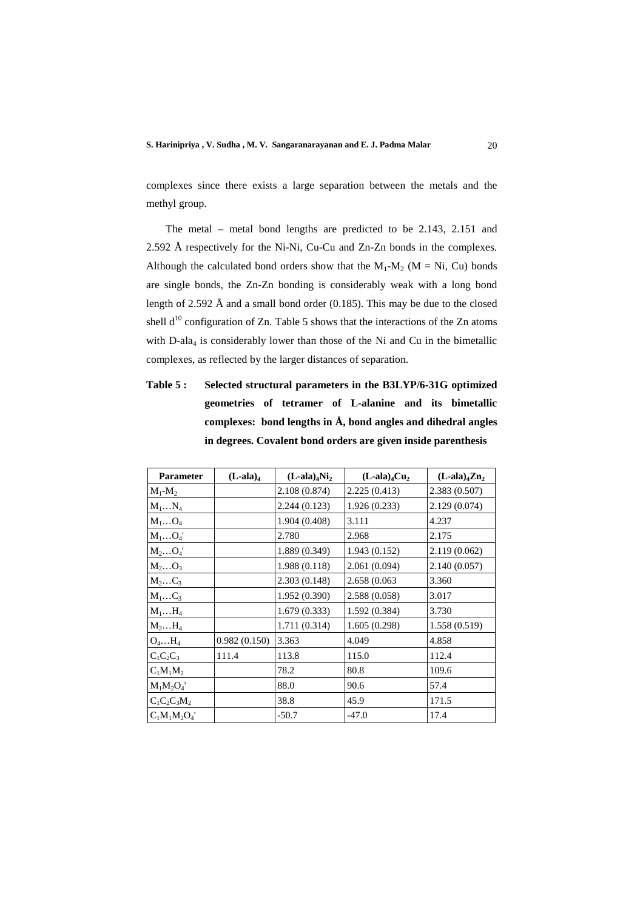complexes since there exists a large separation between the metals and the methyl group.

 The metal – metal bond lengths are predicted to be 2.143, 2.151 and 2.592 Å respectively for the Ni-Ni, Cu-Cu and Zn-Zn bonds in the complexes. Although the calculated bond orders show that the  $M_1-M_2$  (M = Ni, Cu) bonds are single bonds, the Zn-Zn bonding is considerably weak with a long bond length of 2.592 Å and a small bond order (0.185). This may be due to the closed shell  $d^{10}$  configuration of Zn. Table 5 shows that the interactions of the Zn atoms with D-ala<sub>4</sub> is considerably lower than those of the Ni and Cu in the bimetallic complexes, as reflected by the larger distances of separation.

**Table 5 : Selected structural parameters in the B3LYP/6-31G optimized geometries of tetramer of L-alanine and its bimetallic complexes: bond lengths in Å, bond angles and dihedral angles in degrees. Covalent bond orders are given inside parenthesis** 

| Parameter      | $(L$ -ala) <sub>4</sub> | $(L$ -ala) <sub>4</sub> Ni <sub>2</sub> | $(L$ -ala) <sub>4</sub> $Cu2$ | $(L$ -ala) <sub>4</sub> $Zn2$ |
|----------------|-------------------------|-----------------------------------------|-------------------------------|-------------------------------|
| $M_1-M_2$      |                         | 2.108 (0.874)                           | 2.225 (0.413)                 | 2.383 (0.507)                 |
| $M_1N_4$       |                         | 2.244 (0.123)                           | 1.926(0.233)                  | 2.129 (0.074)                 |
| $M_1O_4$       |                         | 1.904(0.408)                            | 3.111                         | 4.237                         |
| $M_1O_4$       |                         | 2.780                                   | 2.968                         | 2.175                         |
| $M_2O_4$       |                         | 1.889 (0.349)                           | 1.943(0.152)                  | 2.119 (0.062)                 |
| $M_2O_3$       |                         | 1.988(0.118)                            | 2.061 (0.094)                 | 2.140 (0.057)                 |
| $M_2C_3$       |                         | 2.303 (0.148)                           | 2.658 (0.063                  | 3.360                         |
| $M_1C_3$       |                         | 1.952(0.390)                            | 2.588 (0.058)                 | 3.017                         |
| $M_1H_4$       |                         | 1.679(0.333)                            | 1.592(0.384)                  | 3.730                         |
| $M_2H_4$       |                         | 1.711 (0.314)                           | 1.605(0.298)                  | 1.558 (0.519)                 |
| $O_4H_4$       | 0.982(0.150)            | 3.363                                   | 4.049                         | 4.858                         |
| $C_1C_2C_3$    | 111.4                   | 113.8                                   | 115.0                         | 112.4                         |
| $C_1M_1M_2$    |                         | 78.2                                    | 80.8                          | 109.6                         |
| $M_1M_2O_4'$   |                         | 88.0                                    | 90.6                          | 57.4                          |
| $C_1C_2C_3M_2$ |                         | 38.8                                    | 45.9                          | 171.5                         |
| $C_1M_1M_2O_4$ |                         | $-50.7$                                 | $-47.0$                       | 17.4                          |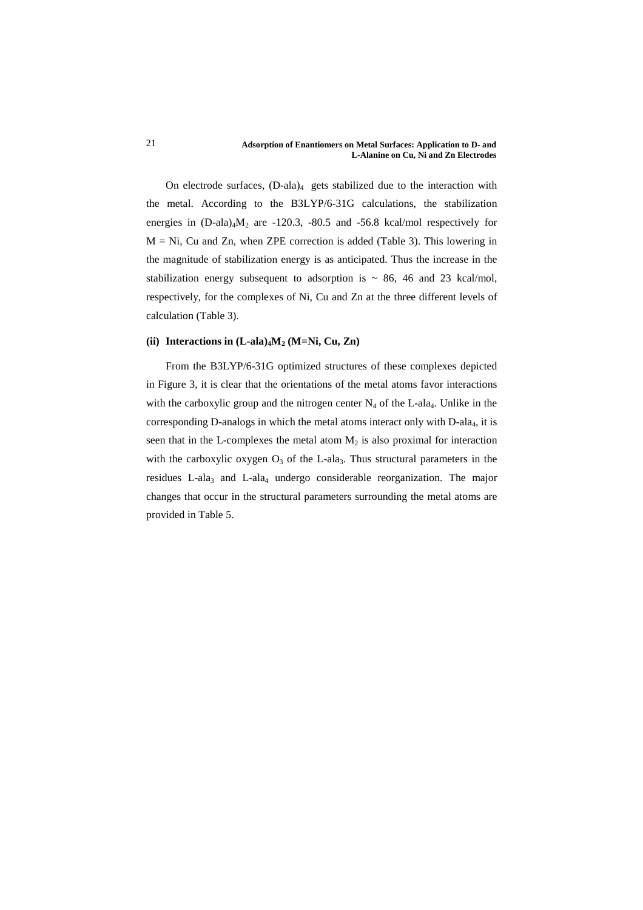On electrode surfaces,  $(D-ala)<sub>4</sub>$  gets stabilized due to the interaction with the metal. According to the B3LYP/6-31G calculations, the stabilization energies in  $(D-ala)_{4}M_2$  are -120.3, -80.5 and -56.8 kcal/mol respectively for  $M = Ni$ , Cu and Zn, when ZPE correction is added (Table 3). This lowering in the magnitude of stabilization energy is as anticipated. Thus the increase in the stabilization energy subsequent to adsorption is  $\sim$  86, 46 and 23 kcal/mol, respectively, for the complexes of Ni, Cu and Zn at the three different levels of calculation (Table 3).

# (ii) Interactions in  $(L-ala)<sub>4</sub>M<sub>2</sub>$  (M=Ni, Cu, Zn)

 From the B3LYP/6-31G optimized structures of these complexes depicted in Figure 3, it is clear that the orientations of the metal atoms favor interactions with the carboxylic group and the nitrogen center  $N_4$  of the L-ala<sub>4</sub>. Unlike in the corresponding D-analogs in which the metal atoms interact only with  $D$ -ala<sub>4</sub>, it is seen that in the L-complexes the metal atom  $M_2$  is also proximal for interaction with the carboxylic oxygen  $O_3$  of the L-ala<sub>3</sub>. Thus structural parameters in the residues L-ala<sub>3</sub> and L-ala<sub>4</sub> undergo considerable reorganization. The major changes that occur in the structural parameters surrounding the metal atoms are provided in Table 5.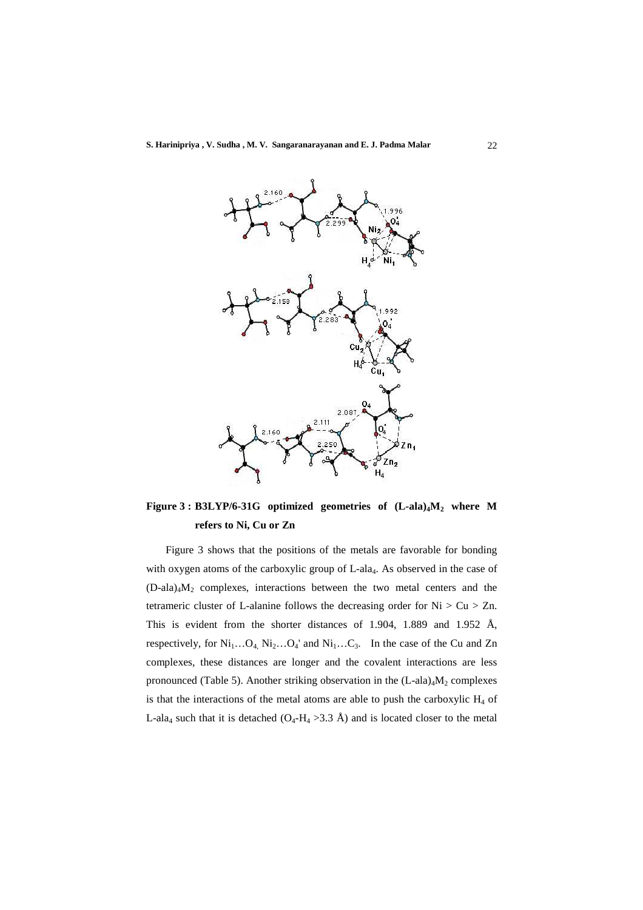

**Figure 3 : B3LYP/6-31G optimized geometries of (L-ala)4M2 where M refers to Ni, Cu or Zn**

 Figure 3 shows that the positions of the metals are favorable for bonding with oxygen atoms of the carboxylic group of L-ala<sub>4</sub>. As observed in the case of (D-ala)4M2 complexes, interactions between the two metal centers and the tetrameric cluster of L-alanine follows the decreasing order for  $Ni > Cu > Zn$ . This is evident from the shorter distances of 1.904, 1.889 and 1.952 Å, respectively, for  $Ni_1...O_4$ ,  $Ni_2...O_4$ ' and  $Ni_1...C_3$ . In the case of the Cu and Zn complexes, these distances are longer and the covalent interactions are less pronounced (Table 5). Another striking observation in the  $(L$ -ala)<sub>4</sub> $M<sub>2</sub>$  complexes is that the interactions of the metal atoms are able to push the carboxylic  $H_4$  of L-ala<sub>4</sub> such that it is detached  $(O_4-H_4 > 3.3 \text{ Å})$  and is located closer to the metal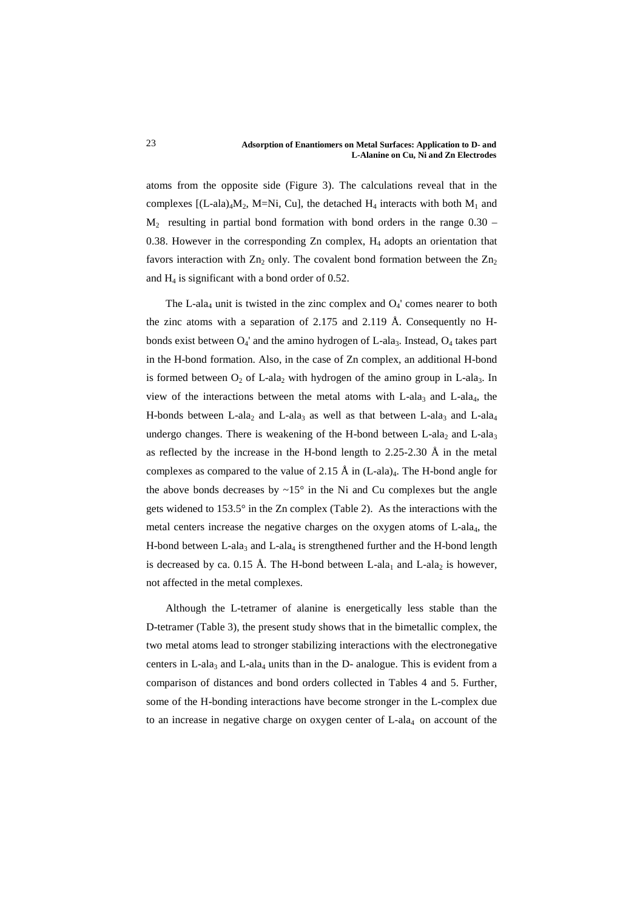atoms from the opposite side (Figure 3). The calculations reveal that in the complexes  $[(L-ala)_4M_2, M=Ni, Cu]$ , the detached  $H_4$  interacts with both  $M_1$  and  $M<sub>2</sub>$  resulting in partial bond formation with bond orders in the range 0.30 – 0.38. However in the corresponding Zn complex, H4 adopts an orientation that favors interaction with  $Zn_2$  only. The covalent bond formation between the  $Zn_2$ and  $H_4$  is significant with a bond order of 0.52.

The L-ala<sub>4</sub> unit is twisted in the zinc complex and  $O<sub>4</sub>$ ' comes nearer to both the zinc atoms with a separation of 2.175 and 2.119 Å. Consequently no Hbonds exist between  $O_4$ ' and the amino hydrogen of L-ala<sub>3</sub>. Instead,  $O_4$  takes part in the H-bond formation. Also, in the case of Zn complex, an additional H-bond is formed between  $O_2$  of L-ala<sub>2</sub> with hydrogen of the amino group in L-ala<sub>3</sub>. In view of the interactions between the metal atoms with L-ala<sub>3</sub> and L-ala<sub>4</sub>, the H-bonds between L-ala<sub>2</sub> and L-ala<sub>3</sub> as well as that between L-ala<sub>3</sub> and L-ala<sub>4</sub> undergo changes. There is weakening of the H-bond between L-ala<sub>2</sub> and L-ala<sub>3</sub> as reflected by the increase in the H-bond length to 2.25-2.30 Å in the metal complexes as compared to the value of 2.15 Å in  $(L$ -ala)<sub>4</sub>. The H-bond angle for the above bonds decreases by  $\sim 15^\circ$  in the Ni and Cu complexes but the angle gets widened to 153.5° in the Zn complex (Table 2). As the interactions with the metal centers increase the negative charges on the oxygen atoms of  $L$ -ala<sub>4</sub>, the H-bond between L-ala<sub>3</sub> and L-ala<sub>4</sub> is strengthened further and the H-bond length is decreased by ca. 0.15 Å. The H-bond between L-ala<sub>1</sub> and L-ala<sub>2</sub> is however, not affected in the metal complexes.

 Although the L-tetramer of alanine is energetically less stable than the D-tetramer (Table 3), the present study shows that in the bimetallic complex, the two metal atoms lead to stronger stabilizing interactions with the electronegative centers in L-ala<sub>3</sub> and L-ala<sub>4</sub> units than in the D- analogue. This is evident from a comparison of distances and bond orders collected in Tables 4 and 5. Further, some of the H-bonding interactions have become stronger in the L-complex due to an increase in negative charge on oxygen center of  $L$ -ala<sub>4</sub> on account of the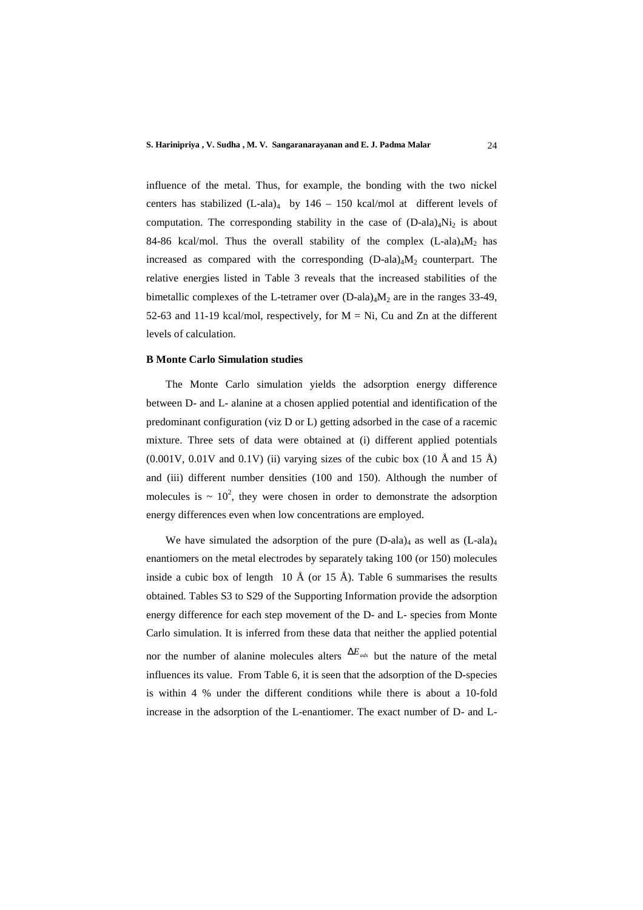influence of the metal. Thus, for example, the bonding with the two nickel centers has stabilized  $(L$ -ala)<sub>4</sub> by  $146 - 150$  kcal/mol at different levels of computation. The corresponding stability in the case of  $(D-\text{ala})_4\text{Ni}_2$  is about 84-86 kcal/mol. Thus the overall stability of the complex  $(L-ala)<sub>4</sub>M<sub>2</sub>$  has increased as compared with the corresponding  $(D-\text{ala})_4M_2$  counterpart. The relative energies listed in Table 3 reveals that the increased stabilities of the bimetallic complexes of the L-tetramer over  $(D$ -ala)<sub>4</sub> $M_2$  are in the ranges 33-49, 52-63 and 11-19 kcal/mol, respectively, for  $M = Ni$ , Cu and Zn at the different levels of calculation.

### **B Monte Carlo Simulation studies**

 The Monte Carlo simulation yields the adsorption energy difference between D- and L- alanine at a chosen applied potential and identification of the predominant configuration (viz D or L) getting adsorbed in the case of a racemic mixture. Three sets of data were obtained at (i) different applied potentials  $(0.001V, 0.01V$  and  $(0.1V)$  (ii) varying sizes of the cubic box  $(10 \text{ Å}$  and  $15 \text{ Å})$ and (iii) different number densities (100 and 150). Although the number of molecules is  $\sim 10^2$ , they were chosen in order to demonstrate the adsorption energy differences even when low concentrations are employed.

We have simulated the adsorption of the pure  $(D-ala)<sub>4</sub>$  as well as  $(L-ala)<sub>4</sub>$ enantiomers on the metal electrodes by separately taking 100 (or 150) molecules inside a cubic box of length 10  $\AA$  (or 15  $\AA$ ). Table 6 summarises the results obtained. Tables S3 to S29 of the Supporting Information provide the adsorption energy difference for each step movement of the D- and L- species from Monte Carlo simulation. It is inferred from these data that neither the applied potential nor the number of alanine molecules alters ∆*Eads* but the nature of the metal influences its value. From Table 6, it is seen that the adsorption of the D-species is within 4 % under the different conditions while there is about a 10-fold increase in the adsorption of the L-enantiomer. The exact number of D- and L-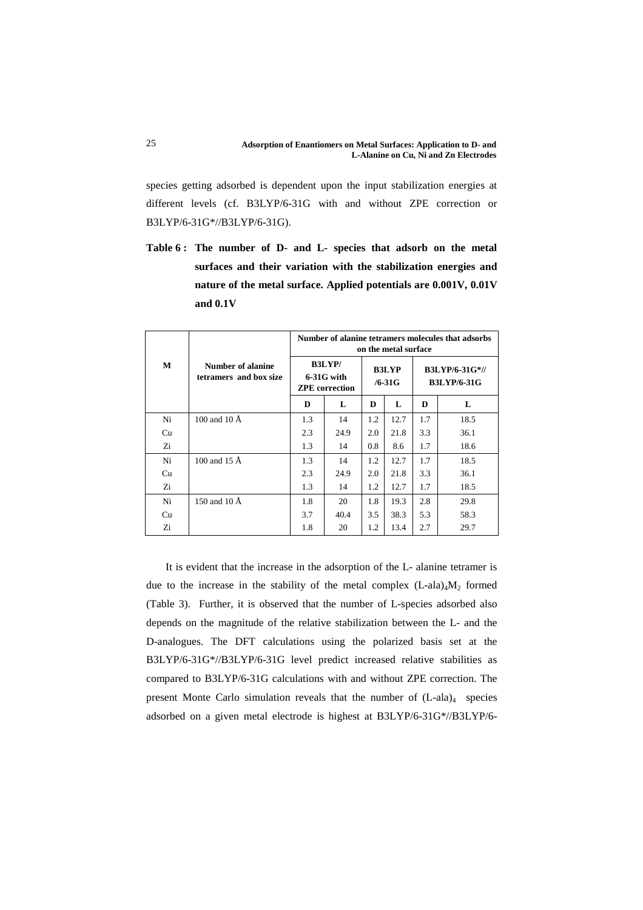species getting adsorbed is dependent upon the input stabilization energies at different levels (cf. B3LYP/6-31G with and without ZPE correction or B3LYP/6-31G\*//B3LYP/6-31G).

**Table 6 : The number of D- and L- species that adsorb on the metal surfaces and their variation with the stabilization energies and nature of the metal surface. Applied potentials are 0.001V, 0.01V and 0.1V**

|    |                                             | Number of alanine tetramers molecules that adsorbs<br>on the metal surface |      |     |                             |     |                                             |
|----|---------------------------------------------|----------------------------------------------------------------------------|------|-----|-----------------------------|-----|---------------------------------------------|
| M  | Number of alanine<br>tetramers and box size | <b>B3LYP/</b><br>6-31G with<br><b>ZPE</b> correction                       |      |     | <b>B3LYP</b><br>$/6 - 31$ G |     | <b>B3LYP/6-31G*//</b><br><b>B3LYP/6-31G</b> |
|    |                                             | D                                                                          | L    | D   | L                           | D   | L                                           |
| Ni | 100 and 10 $\AA$                            | 1.3                                                                        | 14   | 1.2 | 12.7                        | 1.7 | 18.5                                        |
| Cu |                                             | 2.3                                                                        | 24.9 | 2.0 | 21.8                        | 3.3 | 36.1                                        |
| Zi |                                             | 1.3                                                                        | 14   | 0.8 | 8.6                         | 1.7 | 18.6                                        |
| Ni | 100 and 15 $\AA$                            | 1.3                                                                        | 14   | 1.2 | 12.7                        | 1.7 | 18.5                                        |
| Cu |                                             | 2.3                                                                        | 24.9 | 2.0 | 21.8                        | 3.3 | 36.1                                        |
| Zi |                                             | 1.3                                                                        | 14   | 1.2 | 12.7                        | 1.7 | 18.5                                        |
| Ni | 150 and 10 $\AA$                            | 1.8                                                                        | 20   | 1.8 | 19.3                        | 2.8 | 29.8                                        |
| Cu |                                             | 3.7                                                                        | 40.4 | 3.5 | 38.3                        | 5.3 | 58.3                                        |
| Ζi |                                             | 1.8                                                                        | 20   | 1.2 | 13.4                        | 2.7 | 29.7                                        |

 It is evident that the increase in the adsorption of the L- alanine tetramer is due to the increase in the stability of the metal complex  $(L-ala)_{4}M_{2}$  formed (Table 3). Further, it is observed that the number of L-species adsorbed also depends on the magnitude of the relative stabilization between the L- and the D-analogues. The DFT calculations using the polarized basis set at the B3LYP/6-31G\*//B3LYP/6-31G level predict increased relative stabilities as compared to B3LYP/6-31G calculations with and without ZPE correction. The present Monte Carlo simulation reveals that the number of  $(L-ala)<sub>4</sub>$  species adsorbed on a given metal electrode is highest at B3LYP/6-31G\*//B3LYP/6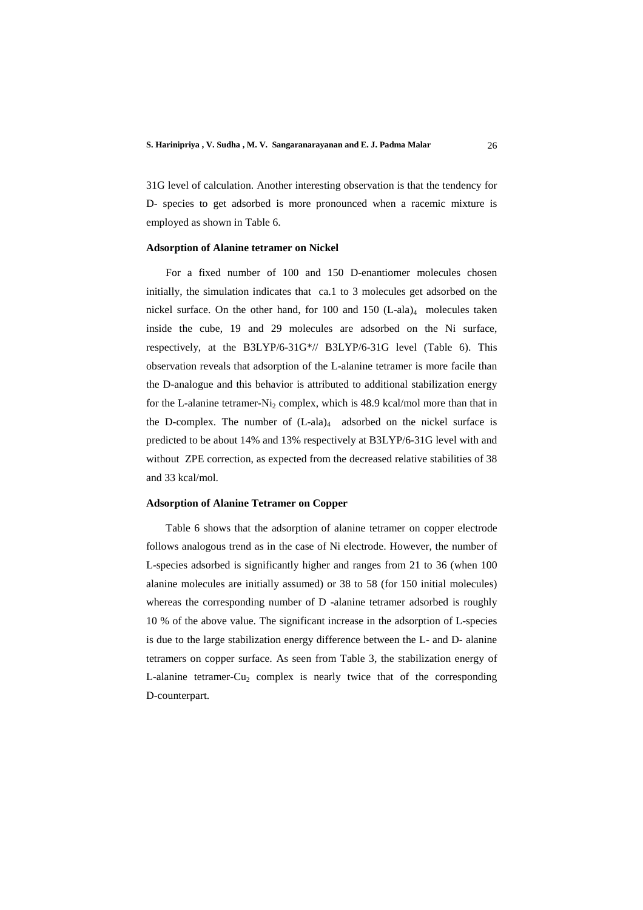31G level of calculation. Another interesting observation is that the tendency for D- species to get adsorbed is more pronounced when a racemic mixture is employed as shown in Table 6.

### **Adsorption of Alanine tetramer on Nickel**

 For a fixed number of 100 and 150 D-enantiomer molecules chosen initially, the simulation indicates that ca.1 to 3 molecules get adsorbed on the nickel surface. On the other hand, for 100 and 150  $(L$ -ala)<sub>4</sub> molecules taken inside the cube, 19 and 29 molecules are adsorbed on the Ni surface, respectively, at the B3LYP/6-31G\*// B3LYP/6-31G level (Table 6). This observation reveals that adsorption of the L-alanine tetramer is more facile than the D-analogue and this behavior is attributed to additional stabilization energy for the L-alanine tetramer-Ni<sub>2</sub> complex, which is 48.9 kcal/mol more than that in the D-complex. The number of  $(L-ala)<sub>4</sub>$  adsorbed on the nickel surface is predicted to be about 14% and 13% respectively at B3LYP/6-31G level with and without ZPE correction, as expected from the decreased relative stabilities of 38 and 33 kcal/mol.

### **Adsorption of Alanine Tetramer on Copper**

 Table 6 shows that the adsorption of alanine tetramer on copper electrode follows analogous trend as in the case of Ni electrode. However, the number of L-species adsorbed is significantly higher and ranges from 21 to 36 (when 100 alanine molecules are initially assumed) or 38 to 58 (for 150 initial molecules) whereas the corresponding number of D -alanine tetramer adsorbed is roughly 10 % of the above value. The significant increase in the adsorption of L-species is due to the large stabilization energy difference between the L- and D- alanine tetramers on copper surface. As seen from Table 3, the stabilization energy of L-alanine tetramer-Cu<sub>2</sub> complex is nearly twice that of the corresponding D-counterpart.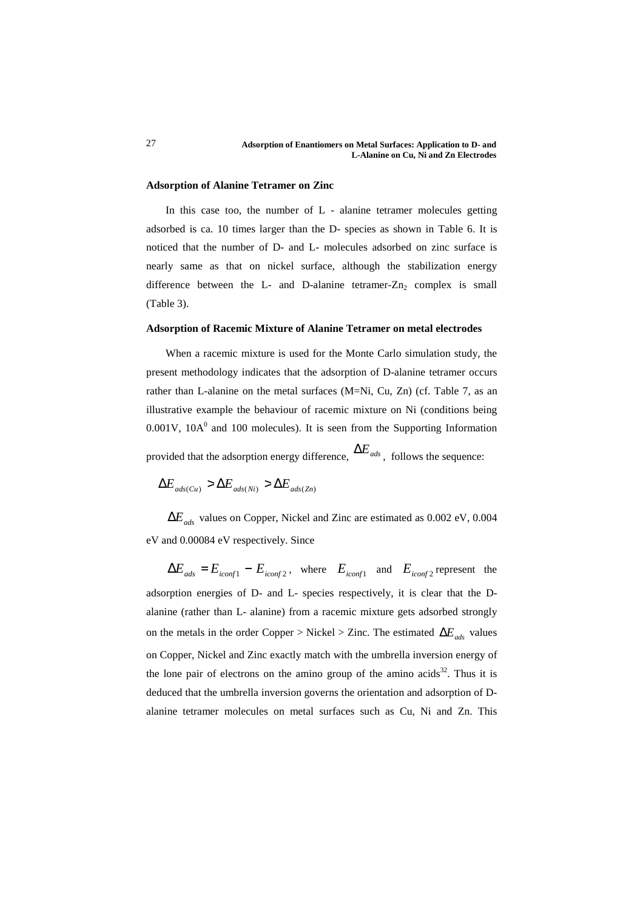### **Adsorption of Alanine Tetramer on Zinc**

 In this case too, the number of L - alanine tetramer molecules getting adsorbed is ca. 10 times larger than the D- species as shown in Table 6. It is noticed that the number of D- and L- molecules adsorbed on zinc surface is nearly same as that on nickel surface, although the stabilization energy difference between the L- and D-alanine tetramer- $Zn_2$  complex is small (Table 3).

### **Adsorption of Racemic Mixture of Alanine Tetramer on metal electrodes**

 When a racemic mixture is used for the Monte Carlo simulation study, the present methodology indicates that the adsorption of D-alanine tetramer occurs rather than L-alanine on the metal surfaces (M=Ni, Cu, Zn) (cf. Table 7, as an illustrative example the behaviour of racemic mixture on Ni (conditions being  $0.001$ V,  $10A<sup>0</sup>$  and  $100$  molecules). It is seen from the Supporting Information

provided that the adsorption energy difference, ∆*Eads* , follows the sequence:

$$
\Delta E_{ads(Cu)} > \Delta E_{ads(Ni)} > \Delta E_{ads(Zn)}
$$

∆*Eads* values on Copper, Nickel and Zinc are estimated as 0.002 eV, 0.004 eV and 0.00084 eV respectively. Since

 $\Delta E_{ads} = E_{iconf1} - E_{iconf2}$ , where  $E_{iconf1}$  and  $E_{iconf2}$  represent the adsorption energies of D- and L- species respectively, it is clear that the Dalanine (rather than L- alanine) from a racemic mixture gets adsorbed strongly on the metals in the order Copper > Nickel > Zinc. The estimated  $\Delta E_{ads}$  values on Copper, Nickel and Zinc exactly match with the umbrella inversion energy of the lone pair of electrons on the amino group of the amino acids<sup>32</sup>. Thus it is deduced that the umbrella inversion governs the orientation and adsorption of Dalanine tetramer molecules on metal surfaces such as Cu, Ni and Zn. This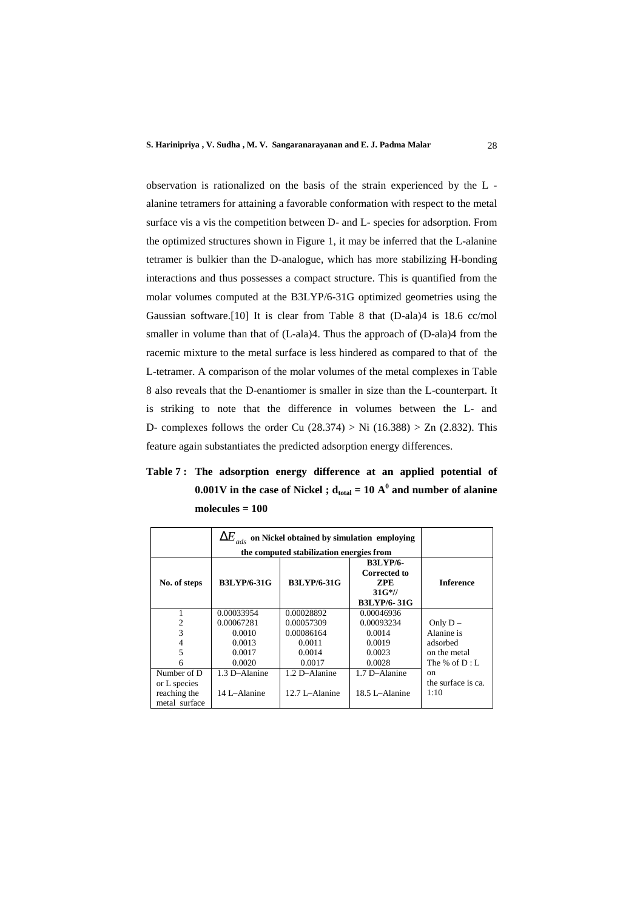observation is rationalized on the basis of the strain experienced by the L alanine tetramers for attaining a favorable conformation with respect to the metal surface vis a vis the competition between D- and L- species for adsorption. From the optimized structures shown in Figure 1, it may be inferred that the L-alanine tetramer is bulkier than the D-analogue, which has more stabilizing H-bonding interactions and thus possesses a compact structure. This is quantified from the molar volumes computed at the B3LYP/6-31G optimized geometries using the Gaussian software.[10] It is clear from Table 8 that (D-ala)4 is 18.6 cc/mol smaller in volume than that of (L-ala)4. Thus the approach of (D-ala)4 from the racemic mixture to the metal surface is less hindered as compared to that of the L-tetramer. A comparison of the molar volumes of the metal complexes in Table 8 also reveals that the D-enantiomer is smaller in size than the L-counterpart. It is striking to note that the difference in volumes between the L- and D- complexes follows the order Cu  $(28.374) > Ni (16.388) > Zn (2.832)$ . This feature again substantiates the predicted adsorption energy differences.

**Table 7 : The adsorption energy difference at an applied potential of**   $0.001V$  in the case of Nickel ;  $d_{total} = 10 A<sup>0</sup>$  and number of alanine **molecules = 100**

|                                               | $\Delta E_{_{ads}}$ on Nickel obtained by simulation employing |                                          |                                                           |                            |
|-----------------------------------------------|----------------------------------------------------------------|------------------------------------------|-----------------------------------------------------------|----------------------------|
|                                               |                                                                | the computed stabilization energies from |                                                           |                            |
| No. of steps                                  | <b>B3LYP/6-31G</b>                                             | <b>B3LYP/6-31G</b>                       | <b>B3LYP/6-</b><br><b>Corrected to</b><br>ZPE<br>$31G*/1$ | <b>Inference</b>           |
|                                               |                                                                |                                          | <b>B3LYP/6-31G</b>                                        |                            |
|                                               | 0.00033954                                                     | 0.00028892                               | 0.00046936                                                |                            |
| 2                                             | 0.00067281                                                     | 0.00057309                               | 0.00093234                                                | Only $D -$                 |
| 3                                             | 0.0010                                                         | 0.00086164                               | 0.0014                                                    | Alanine is                 |
|                                               | 0.0013                                                         | 0.0011                                   | 0.0019                                                    | adsorbed                   |
| 5                                             | 0.0017                                                         | 0.0014                                   | 0.0023                                                    | on the metal               |
| 6                                             | 0.0020                                                         | 0.0017                                   | 0.0028                                                    | The % of $D: L$            |
| Number of D                                   | 1.3 D-Alanine                                                  | 1.2 D-Alanine                            | 1.7 D-Alanine                                             | <sub>on</sub>              |
| or L species<br>reaching the<br>metal surface | 14 L-Alanine                                                   | $12.7$ L $-$ Alanine                     | 18.5 L-Alanine                                            | the surface is ca.<br>1:10 |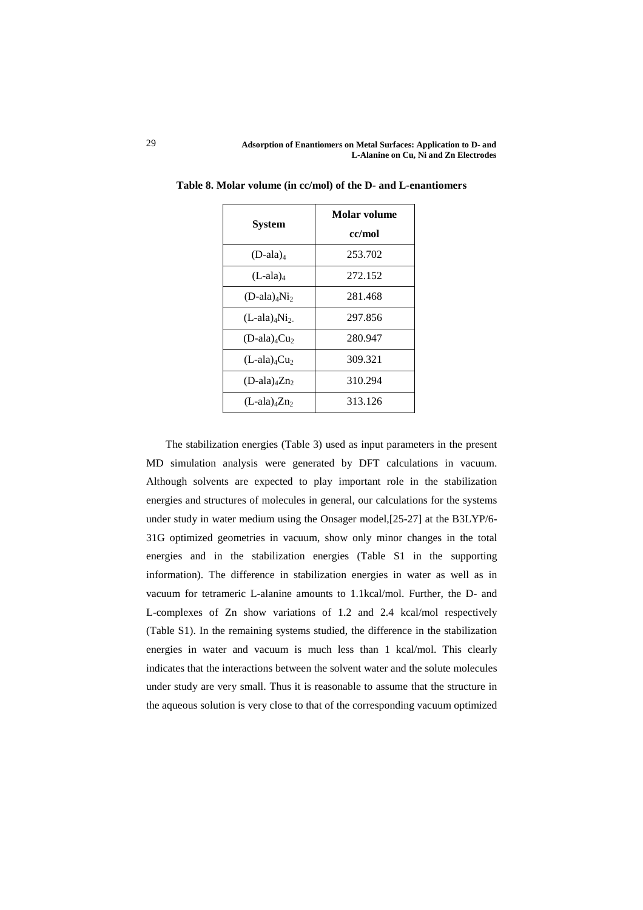| System                                   | Molar volume |  |  |
|------------------------------------------|--------------|--|--|
|                                          | cc/mol       |  |  |
| $(D$ -ala) <sub>4</sub>                  | 253.702      |  |  |
| $(L$ -ala) <sub>4</sub>                  | 272.152      |  |  |
| $(D$ -ala) <sub>4</sub> Ni <sub>2</sub>  | 281.468      |  |  |
| $(L$ -ala) <sub>4</sub> Ni <sub>2-</sub> | 297.856      |  |  |
| $(D$ -ala) <sub>4</sub> $Cu2$            | 280.947      |  |  |
| $(L$ -ala) <sub>4</sub> Cu <sub>2</sub>  | 309.321      |  |  |
| $(D$ -ala) <sub>4</sub> Zn <sub>2</sub>  | 310.294      |  |  |
| $(L$ -ala) <sub>4</sub> Zn <sub>2</sub>  | 313.126      |  |  |

**Table 8. Molar volume (in cc/mol) of the D- and L-enantiomers** 

 The stabilization energies (Table 3) used as input parameters in the present MD simulation analysis were generated by DFT calculations in vacuum. Although solvents are expected to play important role in the stabilization energies and structures of molecules in general, our calculations for the systems under study in water medium using the Onsager model,[25-27] at the B3LYP/6- 31G optimized geometries in vacuum, show only minor changes in the total energies and in the stabilization energies (Table S1 in the supporting information). The difference in stabilization energies in water as well as in vacuum for tetrameric L-alanine amounts to 1.1kcal/mol. Further, the D- and L-complexes of Zn show variations of 1.2 and 2.4 kcal/mol respectively (Table S1). In the remaining systems studied, the difference in the stabilization energies in water and vacuum is much less than 1 kcal/mol. This clearly indicates that the interactions between the solvent water and the solute molecules under study are very small. Thus it is reasonable to assume that the structure in the aqueous solution is very close to that of the corresponding vacuum optimized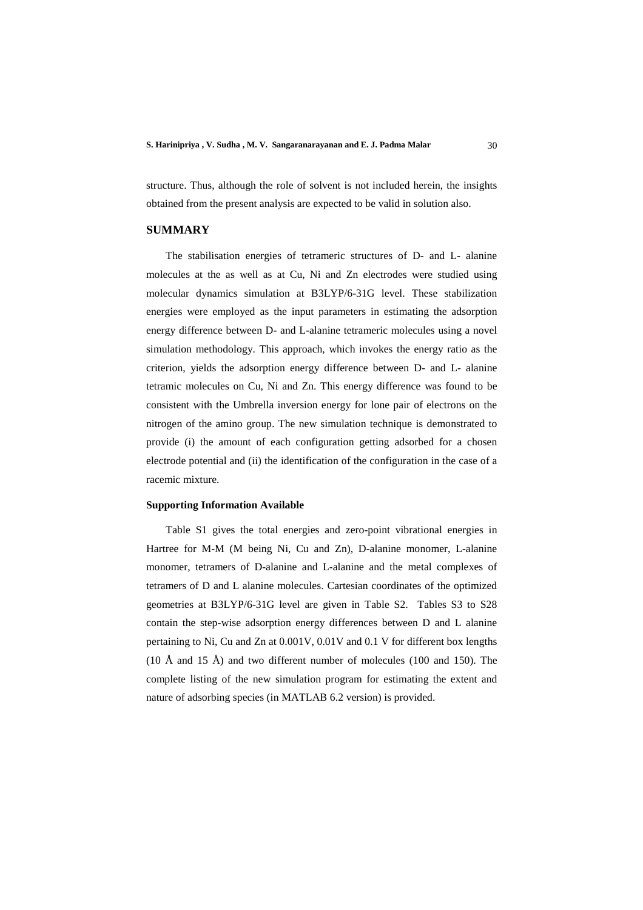structure. Thus, although the role of solvent is not included herein, the insights obtained from the present analysis are expected to be valid in solution also.

# **SUMMARY**

 The stabilisation energies of tetrameric structures of D- and L- alanine molecules at the as well as at Cu, Ni and Zn electrodes were studied using molecular dynamics simulation at B3LYP/6-31G level. These stabilization energies were employed as the input parameters in estimating the adsorption energy difference between D- and L-alanine tetrameric molecules using a novel simulation methodology. This approach, which invokes the energy ratio as the criterion, yields the adsorption energy difference between D- and L- alanine tetramic molecules on Cu, Ni and Zn. This energy difference was found to be consistent with the Umbrella inversion energy for lone pair of electrons on the nitrogen of the amino group. The new simulation technique is demonstrated to provide (i) the amount of each configuration getting adsorbed for a chosen electrode potential and (ii) the identification of the configuration in the case of a racemic mixture.

### **Supporting Information Available**

 Table S1 gives the total energies and zero-point vibrational energies in Hartree for M-M (M being Ni, Cu and Zn), D-alanine monomer, L-alanine monomer, tetramers of D-alanine and L-alanine and the metal complexes of tetramers of D and L alanine molecules. Cartesian coordinates of the optimized geometries at B3LYP/6-31G level are given in Table S2. Tables S3 to S28 contain the step-wise adsorption energy differences between D and L alanine pertaining to Ni, Cu and Zn at 0.001V, 0.01V and 0.1 V for different box lengths (10 Å and 15 Å) and two different number of molecules (100 and 150). The complete listing of the new simulation program for estimating the extent and nature of adsorbing species (in MATLAB 6.2 version) is provided.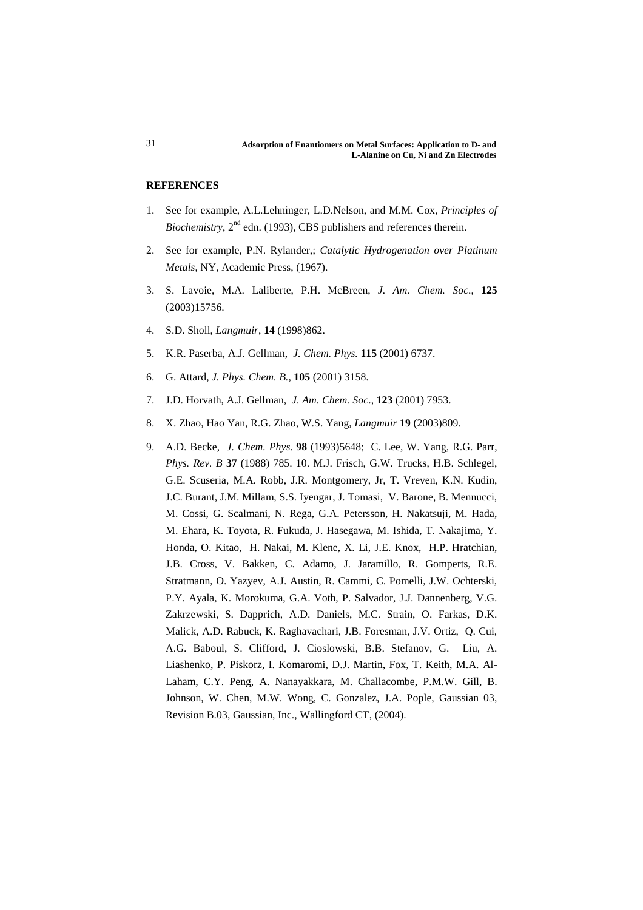# **REFERENCES**

- 1. See for example, A.L.Lehninger, L.D.Nelson, and M.M. Cox, *Principles of Biochemistry*,  $2^{nd}$  edn. (1993), CBS publishers and references therein.
- 2. See for example, P.N. Rylander,; *Catalytic Hydrogenation over Platinum Metals*, NY, Academic Press, (1967).
- 3. S. Lavoie, M.A. Laliberte, P.H. McBreen, *J. Am. Chem. Soc*., **125** (2003)15756.
- 4. S.D. Sholl, *Langmuir*, **14** (1998)862.
- 5. K.R. Paserba, A.J. Gellman, *J. Chem. Phys.* **115** (2001) 6737.
- 6. G. Attard, *J. Phys. Chem. B.*, **105** (2001) 3158.
- 7. J.D. Horvath, A.J. Gellman, *J. Am. Chem. Soc*., **123** (2001) 7953.
- 8. X. Zhao, Hao Yan, R.G. Zhao, W.S. Yang, *Langmuir* **19** (2003)809.
- 9. A.D. Becke, *J. Chem. Phys*. **98** (1993)5648; C. Lee, W. Yang, R.G. Parr, *Phys. Rev. B* **37** (1988) 785. 10. M.J. Frisch, G.W. Trucks, H.B. Schlegel, G.E. Scuseria, M.A. Robb, J.R. Montgomery, Jr, T. Vreven, K.N. Kudin, J.C. Burant, J.M. Millam, S.S. Iyengar, J. Tomasi, V. Barone, B. Mennucci, M. Cossi, G. Scalmani, N. Rega, G.A. Petersson, H. Nakatsuji, M. Hada, M. Ehara, K. Toyota, R. Fukuda, J. Hasegawa, M. Ishida, T. Nakajima, Y. Honda, O. Kitao, H. Nakai, M. Klene, X. Li, J.E. Knox, H.P. Hratchian, J.B. Cross, V. Bakken, C. Adamo, J. Jaramillo, R. Gomperts, R.E. Stratmann, O. Yazyev, A.J. Austin, R. Cammi, C. Pomelli, J.W. Ochterski, P.Y. Ayala, K. Morokuma, G.A. Voth, P. Salvador, J.J. Dannenberg, V.G. Zakrzewski, S. Dapprich, A.D. Daniels, M.C. Strain, O. Farkas, D.K. Malick, A.D. Rabuck, K. Raghavachari, J.B. Foresman, J.V. Ortiz, Q. Cui, A.G. Baboul, S. Clifford, J. Cioslowski, B.B. Stefanov, G. Liu, A. Liashenko, P. Piskorz, I. Komaromi, D.J. Martin, Fox, T. Keith, M.A. Al-Laham, C.Y. Peng, A. Nanayakkara, M. Challacombe, P.M.W. Gill, B. Johnson, W. Chen, M.W. Wong, C. Gonzalez, J.A. Pople, Gaussian 03, Revision B.03, Gaussian, Inc., Wallingford CT, (2004).